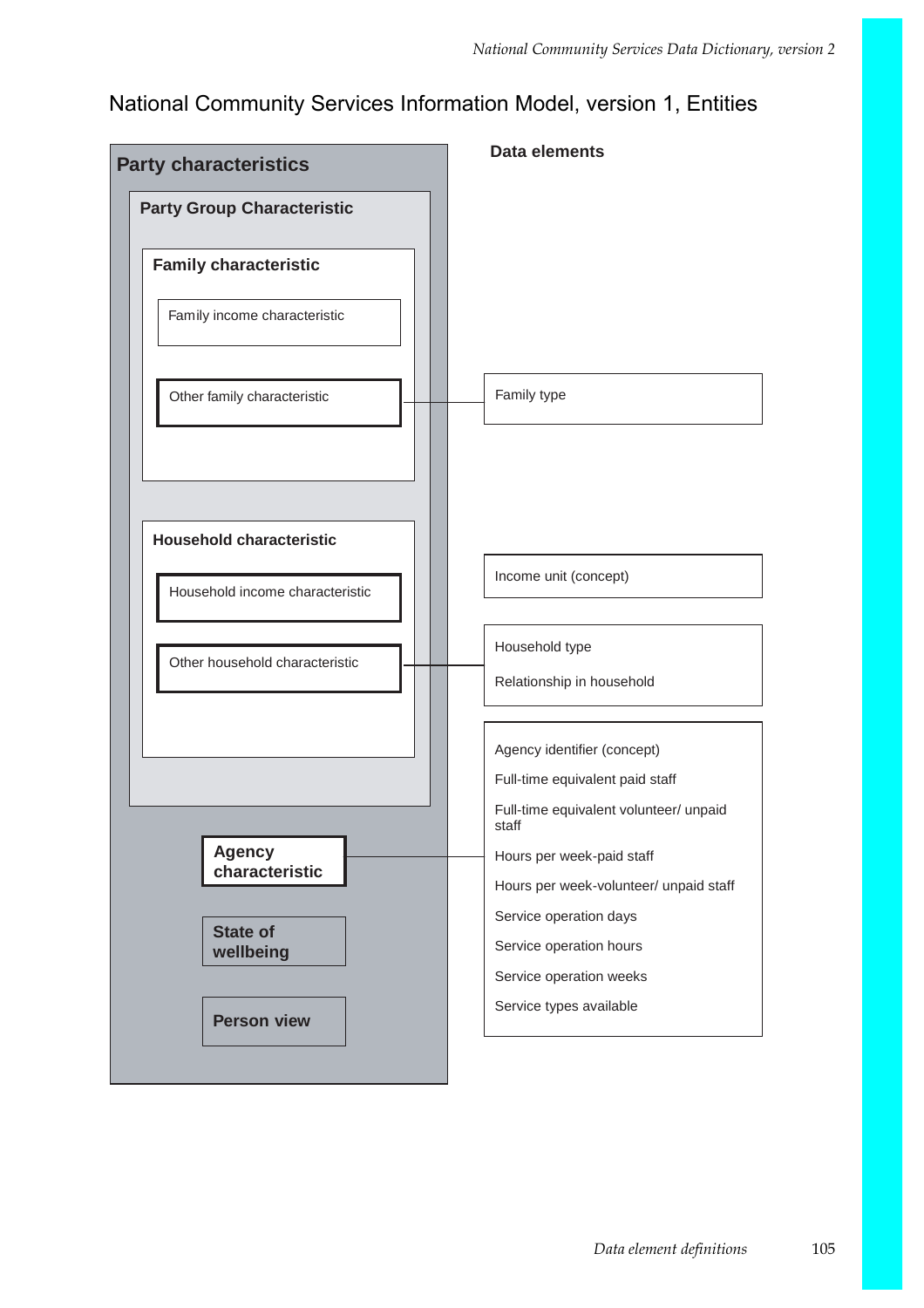## National Community Services Information Model, version 1, Entities

| <b>Party characteristics</b>      | <b>Data elements</b>                            |
|-----------------------------------|-------------------------------------------------|
| <b>Party Group Characteristic</b> |                                                 |
| <b>Family characteristic</b>      |                                                 |
| Family income characteristic      |                                                 |
| Other family characteristic       | Family type                                     |
|                                   |                                                 |
| <b>Household characteristic</b>   |                                                 |
| Household income characteristic   | Income unit (concept)                           |
| Other household characteristic    | Household type<br>Relationship in household     |
|                                   | Agency identifier (concept)                     |
|                                   | Full-time equivalent paid staff                 |
|                                   | Full-time equivalent volunteer/ unpaid<br>staff |
| <b>Agency</b><br>characteristic   | Hours per week-paid staff                       |
|                                   | Hours per week-volunteer/ unpaid staff          |
| <b>State of</b>                   | Service operation days                          |
| wellbeing                         | Service operation hours                         |
|                                   | Service operation weeks                         |
| <b>Person view</b>                | Service types available                         |
|                                   |                                                 |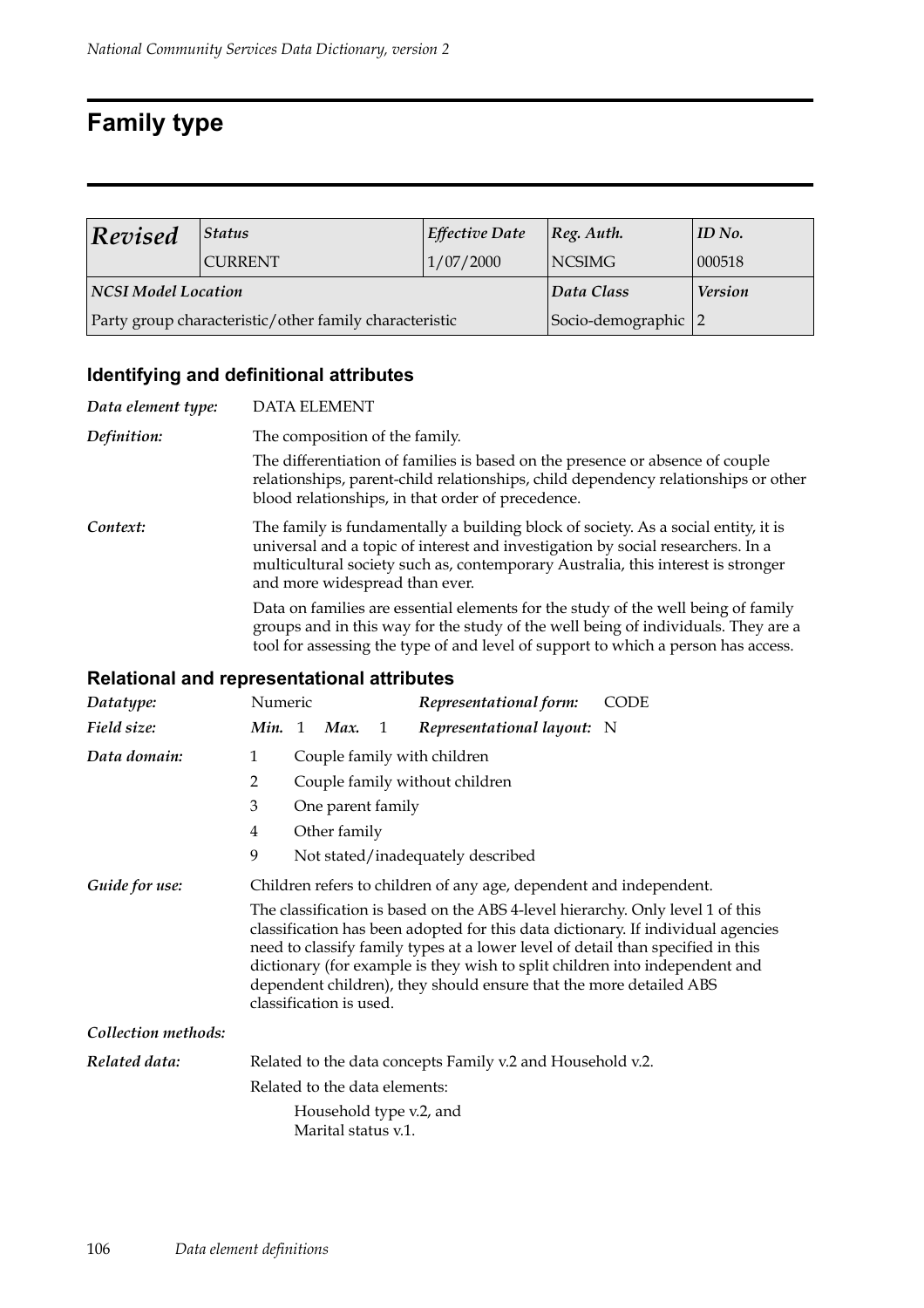## **Family type**

| Revised             | <b>Status</b>                                          | <b>Effective Date</b> | $\lvert \textit{Reg. Author.} \rvert$ | ID No. |
|---------------------|--------------------------------------------------------|-----------------------|---------------------------------------|--------|
|                     | <b>CURRENT</b>                                         | 1/07/2000             | NCSIMG                                | 000518 |
| NCSI Model Location |                                                        | Data Class            | <b>Version</b>                        |        |
|                     | Party group characteristic/other family characteristic | Socio-demographic 2   |                                       |        |

### **Identifying and definitional attributes**

| Data element type: | <b>DATA ELEMENT</b>                                                                                                                                                                                                                                                                         |  |  |  |  |  |
|--------------------|---------------------------------------------------------------------------------------------------------------------------------------------------------------------------------------------------------------------------------------------------------------------------------------------|--|--|--|--|--|
| Definition:        | The composition of the family.                                                                                                                                                                                                                                                              |  |  |  |  |  |
|                    | The differentiation of families is based on the presence or absence of couple<br>relationships, parent-child relationships, child dependency relationships or other<br>blood relationships, in that order of precedence.                                                                    |  |  |  |  |  |
| Context:           | The family is fundamentally a building block of society. As a social entity, it is<br>universal and a topic of interest and investigation by social researchers. In a<br>multicultural society such as, contemporary Australia, this interest is stronger<br>and more widespread than ever. |  |  |  |  |  |
|                    | Data on families are essential elements for the study of the well being of family<br>groups and in this way for the study of the well being of individuals. They are a<br>tool for assessing the type of and level of support to which a person has access.                                 |  |  |  |  |  |
|                    | <b>Relational and representational attributes</b>                                                                                                                                                                                                                                           |  |  |  |  |  |
| Datatype:          | Numeric<br><b>CODE</b><br>Representational form:                                                                                                                                                                                                                                            |  |  |  |  |  |
| Field size:        | Representational layout: N<br>Min. 1 Max.<br>$\mathbf{1}$                                                                                                                                                                                                                                   |  |  |  |  |  |

| Dututype.           | inument<br>Representational form: CODE                                                                                                                                                                                                                                                                                                                                                                                                |  |  |  |  |  |
|---------------------|---------------------------------------------------------------------------------------------------------------------------------------------------------------------------------------------------------------------------------------------------------------------------------------------------------------------------------------------------------------------------------------------------------------------------------------|--|--|--|--|--|
| Field size:         | Representational layout: N<br>Min. 1<br>Max.<br>1                                                                                                                                                                                                                                                                                                                                                                                     |  |  |  |  |  |
| Data domain:        | Couple family with children<br>$\mathbf{1}$                                                                                                                                                                                                                                                                                                                                                                                           |  |  |  |  |  |
|                     | $\overline{2}$<br>Couple family without children                                                                                                                                                                                                                                                                                                                                                                                      |  |  |  |  |  |
|                     | 3<br>One parent family                                                                                                                                                                                                                                                                                                                                                                                                                |  |  |  |  |  |
|                     | Other family<br>4                                                                                                                                                                                                                                                                                                                                                                                                                     |  |  |  |  |  |
|                     | 9<br>Not stated/inadequately described                                                                                                                                                                                                                                                                                                                                                                                                |  |  |  |  |  |
| Guide for use:      | Children refers to children of any age, dependent and independent.                                                                                                                                                                                                                                                                                                                                                                    |  |  |  |  |  |
|                     | The classification is based on the ABS 4-level hierarchy. Only level 1 of this<br>classification has been adopted for this data dictionary. If individual agencies<br>need to classify family types at a lower level of detail than specified in this<br>dictionary (for example is they wish to split children into independent and<br>dependent children), they should ensure that the more detailed ABS<br>classification is used. |  |  |  |  |  |
| Collection methods: |                                                                                                                                                                                                                                                                                                                                                                                                                                       |  |  |  |  |  |
| Related data:       | Related to the data concepts Family v.2 and Household v.2.                                                                                                                                                                                                                                                                                                                                                                            |  |  |  |  |  |
|                     | Related to the data elements:                                                                                                                                                                                                                                                                                                                                                                                                         |  |  |  |  |  |
|                     | Household type v.2, and<br>Marital status v.1.                                                                                                                                                                                                                                                                                                                                                                                        |  |  |  |  |  |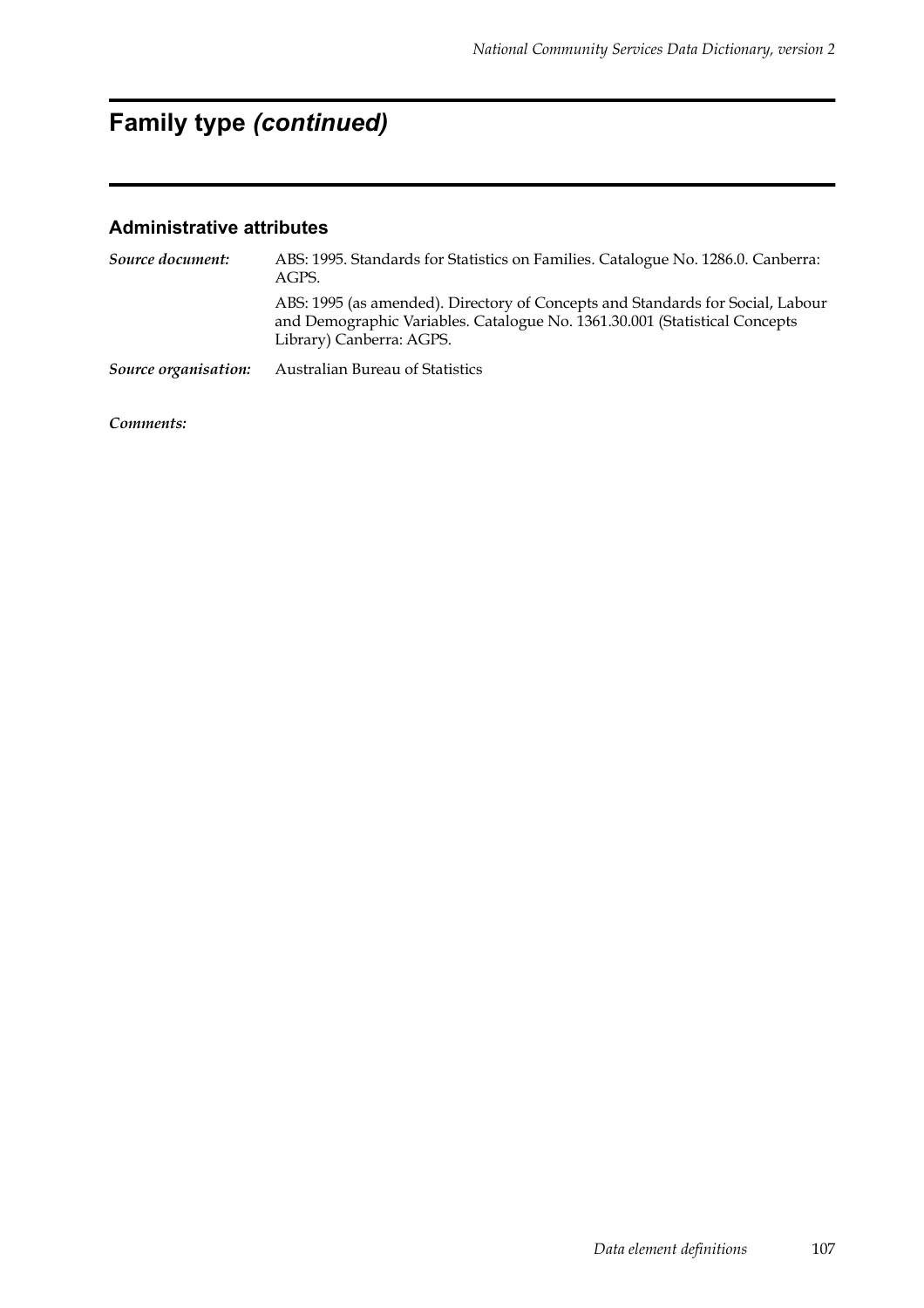# **Family type** *(continued)*

#### **Administrative attributes**

| Source document:     | ABS: 1995. Standards for Statistics on Families. Catalogue No. 1286.0. Canberra:<br>AGPS.                                                                                                |
|----------------------|------------------------------------------------------------------------------------------------------------------------------------------------------------------------------------------|
|                      | ABS: 1995 (as amended). Directory of Concepts and Standards for Social, Labour<br>and Demographic Variables. Catalogue No. 1361.30.001 (Statistical Concepts<br>Library) Canberra: AGPS. |
| Source organisation: | Australian Bureau of Statistics                                                                                                                                                          |

*Comments:*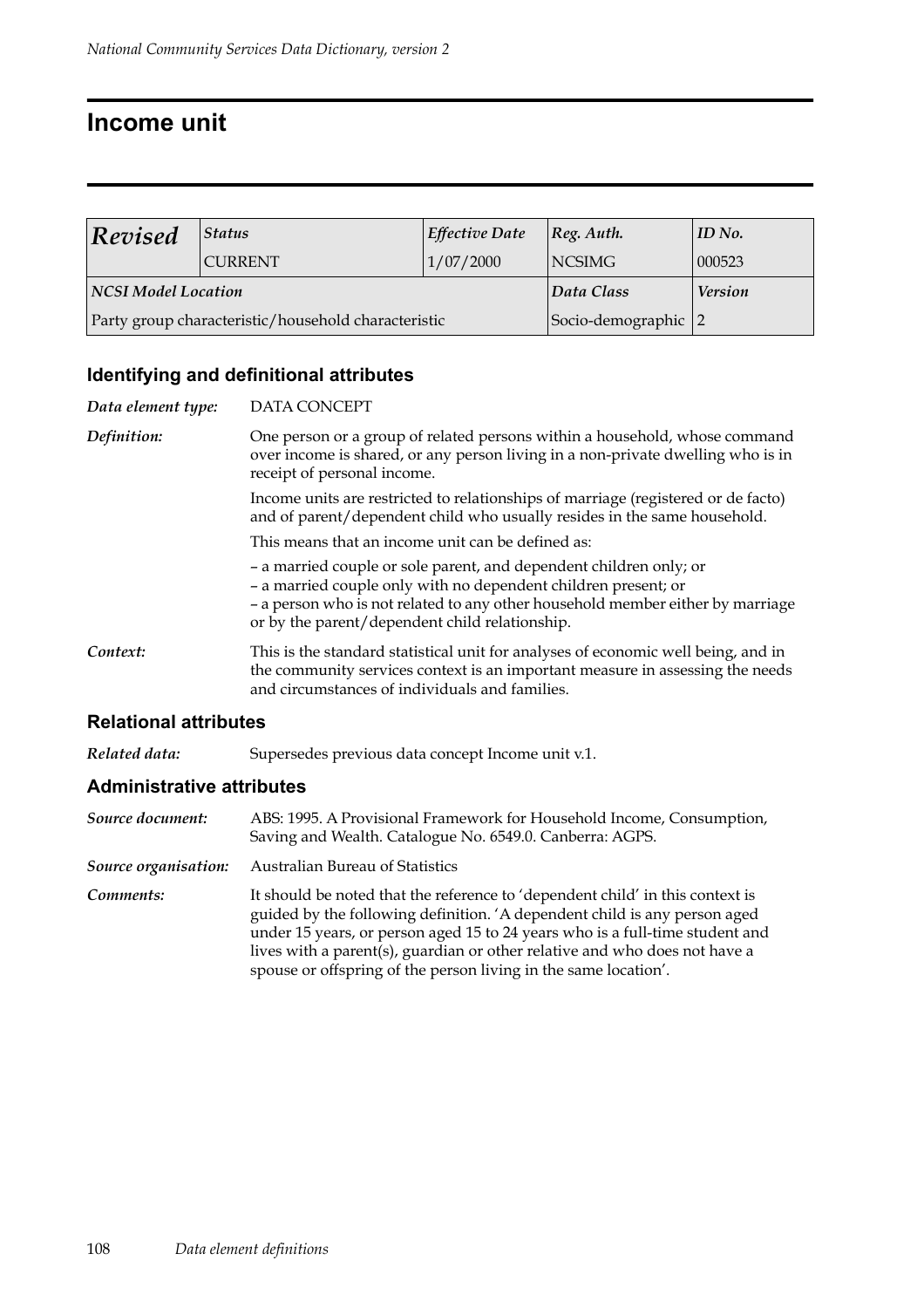### **Income unit**

| Revised                    | <b>Status</b>                                       | Effective Date      | $\vert$ Reg. Auth. | ID No. |
|----------------------------|-----------------------------------------------------|---------------------|--------------------|--------|
|                            | <b>CURRENT</b>                                      | 1/07/2000           | <b>NCSIMG</b>      | 000523 |
| <b>NCSI Model Location</b> |                                                     | Data Class          | <b>Version</b>     |        |
|                            | Party group characteristic/household characteristic | Socio-demographic 2 |                    |        |

### **Identifying and definitional attributes**

| Data element type: | <b>DATA CONCEPT</b>                                                                                                                                                                                                                                                      |
|--------------------|--------------------------------------------------------------------------------------------------------------------------------------------------------------------------------------------------------------------------------------------------------------------------|
| Definition:        | One person or a group of related persons within a household, whose command<br>over income is shared, or any person living in a non-private dwelling who is in<br>receipt of personal income.                                                                             |
|                    | Income units are restricted to relationships of marriage (registered or de facto)<br>and of parent/dependent child who usually resides in the same household.                                                                                                            |
|                    | This means that an income unit can be defined as:                                                                                                                                                                                                                        |
|                    | - a married couple or sole parent, and dependent children only; or<br>- a married couple only with no dependent children present; or<br>- a person who is not related to any other household member either by marriage<br>or by the parent/dependent child relationship. |
| Context:           | This is the standard statistical unit for analyses of economic well being, and in<br>the community services context is an important measure in assessing the needs<br>and circumstances of individuals and families.                                                     |

#### **Relational attributes**

*Related data:* Supersedes previous data concept Income unit v.1.

| Source document:     | ABS: 1995. A Provisional Framework for Household Income, Consumption,<br>Saving and Wealth. Catalogue No. 6549.0. Canberra: AGPS.                                                                                                                                                                                                                                                           |  |  |  |  |
|----------------------|---------------------------------------------------------------------------------------------------------------------------------------------------------------------------------------------------------------------------------------------------------------------------------------------------------------------------------------------------------------------------------------------|--|--|--|--|
| Source organisation: | Australian Bureau of Statistics                                                                                                                                                                                                                                                                                                                                                             |  |  |  |  |
| Comments:            | It should be noted that the reference to 'dependent child' in this context is<br>guided by the following definition. 'A dependent child is any person aged<br>under 15 years, or person aged 15 to 24 years who is a full-time student and<br>lives with a parent(s), guardian or other relative and who does not have a<br>spouse or offspring of the person living in the same location'. |  |  |  |  |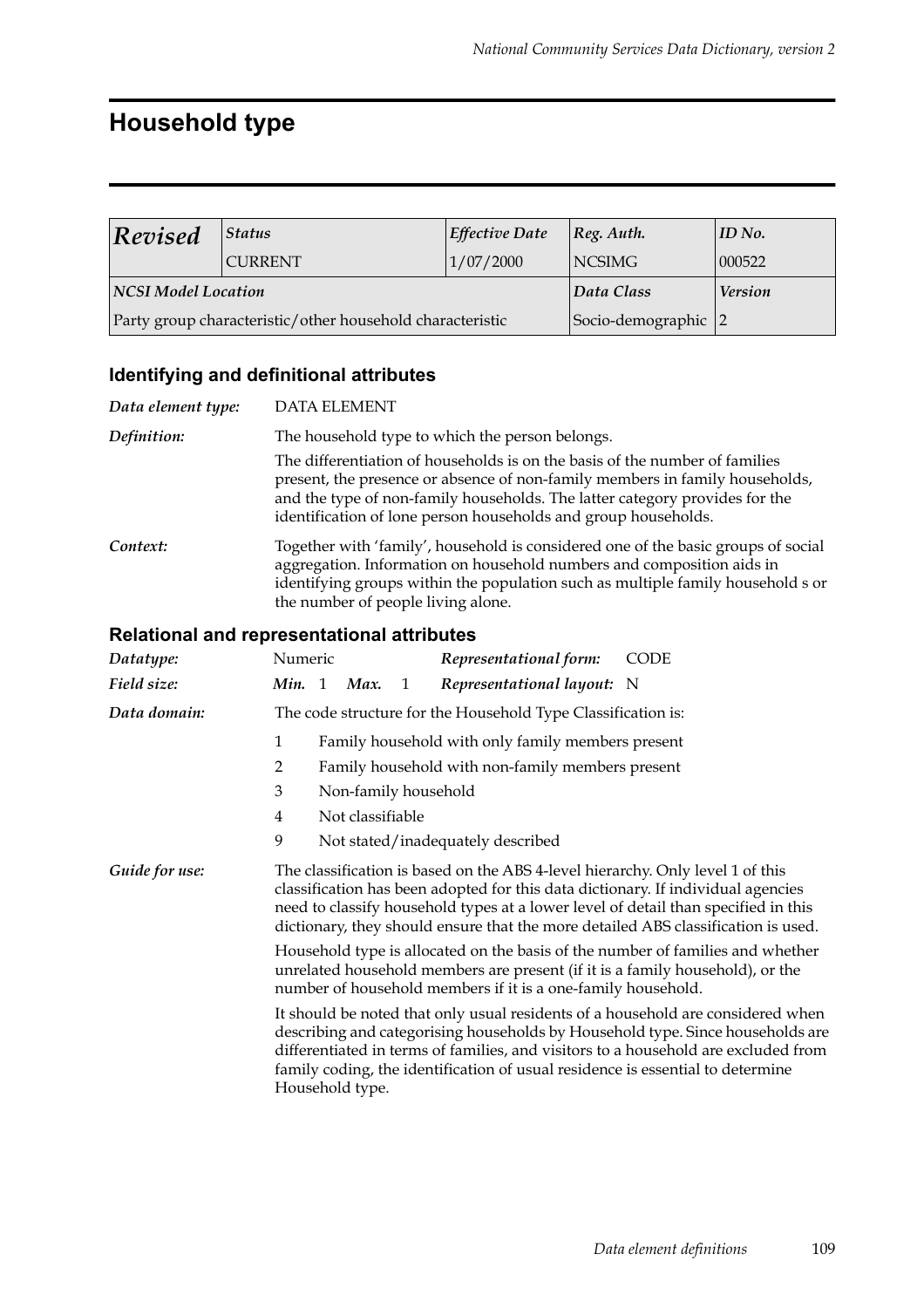## **Household type**

| Revised                    | <b>Status</b>                                             | <b>Effective Date</b> | $ Reg.$ Auth.  | $ID$ No. |
|----------------------------|-----------------------------------------------------------|-----------------------|----------------|----------|
|                            | <b>CURRENT</b>                                            | 1/07/2000             | <b>NCSIMG</b>  | 000522   |
| <b>NCSI Model Location</b> |                                                           | Data Class            | <b>Version</b> |          |
|                            | Party group characteristic/other household characteristic | Socio-demographic 2   |                |          |

### **Identifying and definitional attributes**

| Data element type: | <b>DATA ELEMENT</b>                                                                                                                                                                                                                                                                                          |
|--------------------|--------------------------------------------------------------------------------------------------------------------------------------------------------------------------------------------------------------------------------------------------------------------------------------------------------------|
| Definition:        | The household type to which the person belongs.                                                                                                                                                                                                                                                              |
|                    | The differentiation of households is on the basis of the number of families<br>present, the presence or absence of non-family members in family households,<br>and the type of non-family households. The latter category provides for the<br>identification of lone person households and group households. |
| Context:           | Together with 'family', household is considered one of the basic groups of social<br>aggregation. Information on household numbers and composition aids in<br>identifying groups within the population such as multiple family household s or<br>the number of people living alone.                          |

| Datatype:      | Numeric                                                                                                                                                                                                                                                                                                                                       |                                                              |                      |   | Representational form:                                                         | <b>CODE</b>                                                                                                                                                                                                                                             |  |
|----------------|-----------------------------------------------------------------------------------------------------------------------------------------------------------------------------------------------------------------------------------------------------------------------------------------------------------------------------------------------|--------------------------------------------------------------|----------------------|---|--------------------------------------------------------------------------------|---------------------------------------------------------------------------------------------------------------------------------------------------------------------------------------------------------------------------------------------------------|--|
| Field size:    | Min. 1                                                                                                                                                                                                                                                                                                                                        |                                                              | Max.                 | 1 | Representational layout: N                                                     |                                                                                                                                                                                                                                                         |  |
| Data domain:   |                                                                                                                                                                                                                                                                                                                                               | The code structure for the Household Type Classification is: |                      |   |                                                                                |                                                                                                                                                                                                                                                         |  |
|                | 1                                                                                                                                                                                                                                                                                                                                             | Family household with only family members present            |                      |   |                                                                                |                                                                                                                                                                                                                                                         |  |
|                | 2                                                                                                                                                                                                                                                                                                                                             |                                                              |                      |   | Family household with non-family members present                               |                                                                                                                                                                                                                                                         |  |
|                | 3                                                                                                                                                                                                                                                                                                                                             |                                                              | Non-family household |   |                                                                                |                                                                                                                                                                                                                                                         |  |
|                | 4                                                                                                                                                                                                                                                                                                                                             |                                                              | Not classifiable     |   |                                                                                |                                                                                                                                                                                                                                                         |  |
|                | 9                                                                                                                                                                                                                                                                                                                                             |                                                              |                      |   | Not stated/inadequately described                                              |                                                                                                                                                                                                                                                         |  |
| Guide for use: | The classification is based on the ABS 4-level hierarchy. Only level 1 of this<br>classification has been adopted for this data dictionary. If individual agencies<br>need to classify household types at a lower level of detail than specified in this<br>dictionary, they should ensure that the more detailed ABS classification is used. |                                                              |                      |   |                                                                                |                                                                                                                                                                                                                                                         |  |
|                | Household type is allocated on the basis of the number of families and whether<br>unrelated household members are present (if it is a family household), or the<br>number of household members if it is a one-family household.                                                                                                               |                                                              |                      |   |                                                                                |                                                                                                                                                                                                                                                         |  |
|                |                                                                                                                                                                                                                                                                                                                                               |                                                              | Household type.      |   | family coding, the identification of usual residence is essential to determine | It should be noted that only usual residents of a household are considered when<br>describing and categorising households by Household type. Since households are<br>differentiated in terms of families, and visitors to a household are excluded from |  |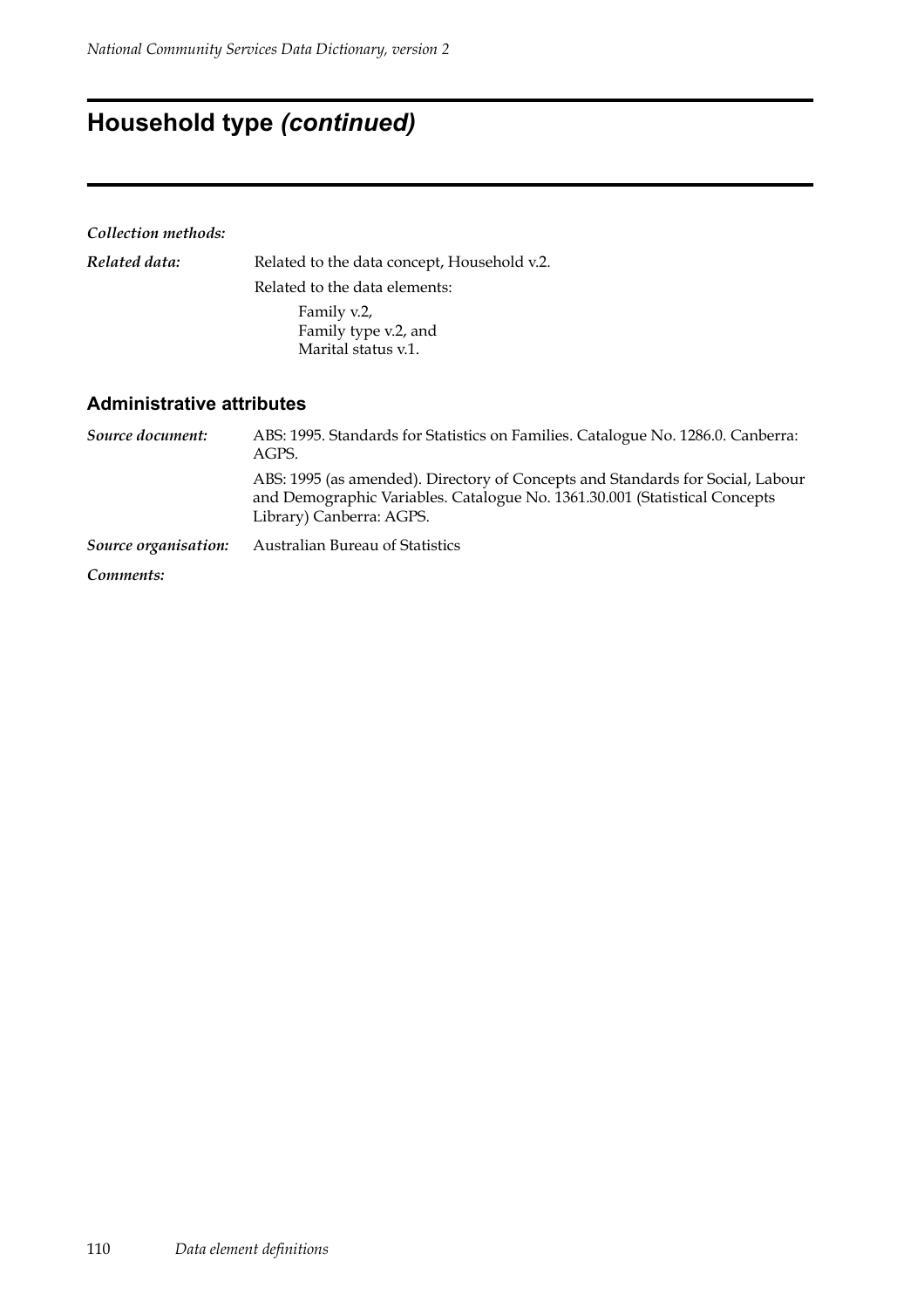## **Household type** *(continued)*

*Collection methods:*

*Related data:* Related to the data concept, Household v.2. Related to the data elements: Family v.2, Family type v.2, and Marital status v.1.

#### **Administrative attributes**

*Source document:* ABS: 1995. Standards for Statistics on Families. Catalogue No. 1286.0. Canberra: AGPS. ABS: 1995 (as amended). Directory of Concepts and Standards for Social, Labour and Demographic Variables. Catalogue No. 1361.30.001 (Statistical Concepts Library) Canberra: AGPS. *Source organisation:* Australian Bureau of Statistics *Comments:*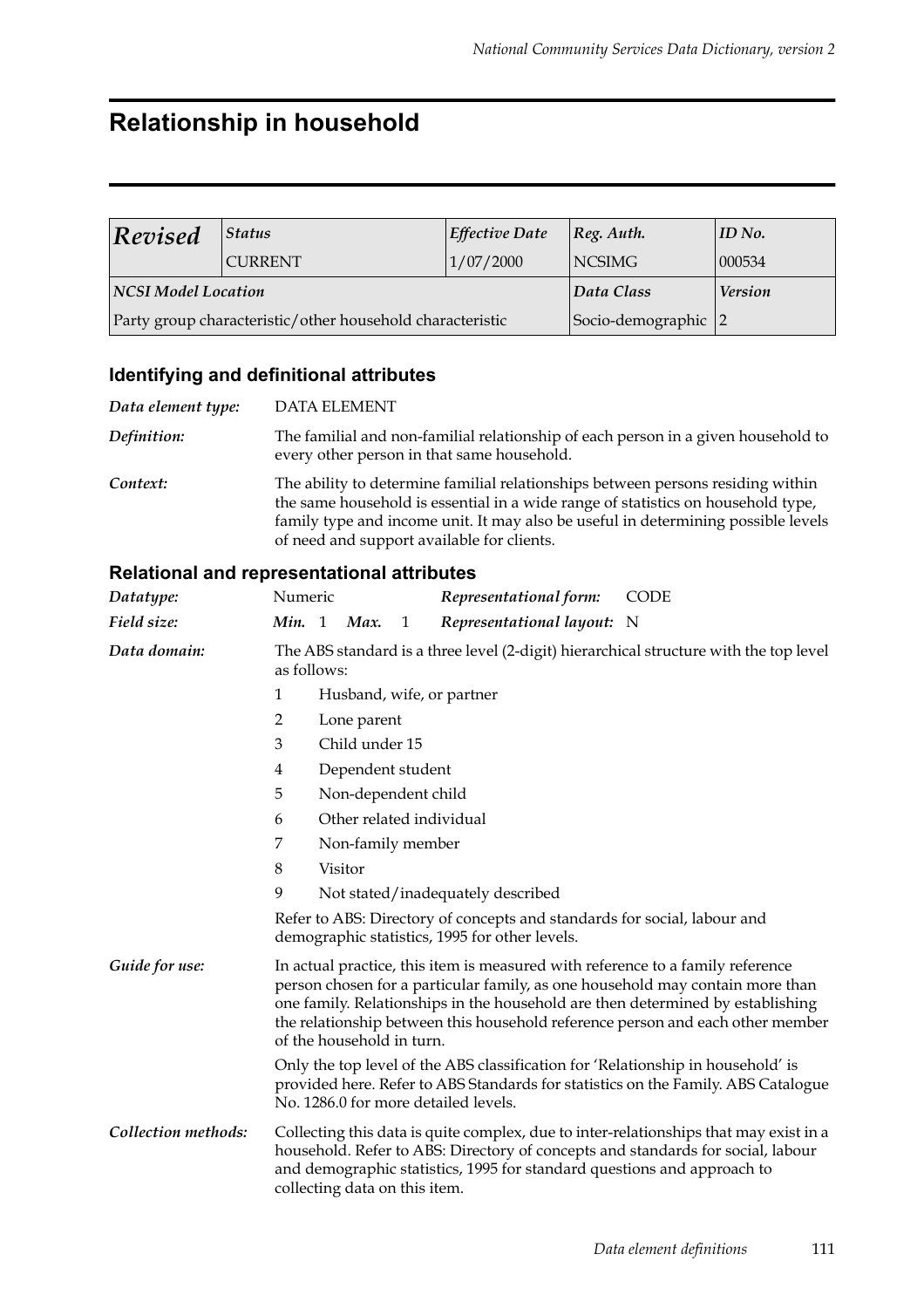## **Relationship in household**

| Revised                    | <i><b>Status</b></i>                                      | <b>Effective Date</b> | Reg. Author.   | ID No. |
|----------------------------|-----------------------------------------------------------|-----------------------|----------------|--------|
|                            | <b>CURRENT</b>                                            | 1/07/2000             | <i>NCSIMG</i>  | 000534 |
| <b>NCSI Model Location</b> |                                                           | Data Class            | <b>Version</b> |        |
|                            | Party group characteristic/other household characteristic | Socio-demographic 2   |                |        |

### **Identifying and definitional attributes**

| Data element type: | <b>DATA ELEMENT</b>                                                                                                                                                                                                                                                                                    |
|--------------------|--------------------------------------------------------------------------------------------------------------------------------------------------------------------------------------------------------------------------------------------------------------------------------------------------------|
| Definition:        | The familial and non-familial relationship of each person in a given household to<br>every other person in that same household.                                                                                                                                                                        |
| Context:           | The ability to determine familial relationships between persons residing within<br>the same household is essential in a wide range of statistics on household type,<br>family type and income unit. It may also be useful in determining possible levels<br>of need and support available for clients. |

| Datatype:           | Numeric     |             |                               |  | Representational form:                                                                                                     | <b>CODE</b>                                                                                                                                                                                                                                       |
|---------------------|-------------|-------------|-------------------------------|--|----------------------------------------------------------------------------------------------------------------------------|---------------------------------------------------------------------------------------------------------------------------------------------------------------------------------------------------------------------------------------------------|
| Field size:         | Min. 1      |             | <b>Max.</b> 1                 |  | Representational layout: N                                                                                                 |                                                                                                                                                                                                                                                   |
| Data domain:        | as follows: |             |                               |  |                                                                                                                            | The ABS standard is a three level (2-digit) hierarchical structure with the top level                                                                                                                                                             |
|                     | 1           |             |                               |  | Husband, wife, or partner                                                                                                  |                                                                                                                                                                                                                                                   |
|                     | 2           | Lone parent |                               |  |                                                                                                                            |                                                                                                                                                                                                                                                   |
|                     | 3           |             | Child under 15                |  |                                                                                                                            |                                                                                                                                                                                                                                                   |
|                     | 4           |             | Dependent student             |  |                                                                                                                            |                                                                                                                                                                                                                                                   |
|                     | 5           |             | Non-dependent child           |  |                                                                                                                            |                                                                                                                                                                                                                                                   |
|                     | 6           |             |                               |  | Other related individual                                                                                                   |                                                                                                                                                                                                                                                   |
|                     | 7           |             | Non-family member             |  |                                                                                                                            |                                                                                                                                                                                                                                                   |
|                     | 8           | Visitor     |                               |  |                                                                                                                            |                                                                                                                                                                                                                                                   |
|                     | 9           |             |                               |  | Not stated/inadequately described                                                                                          |                                                                                                                                                                                                                                                   |
|                     |             |             |                               |  | Refer to ABS: Directory of concepts and standards for social, labour and<br>demographic statistics, 1995 for other levels. |                                                                                                                                                                                                                                                   |
| Guide for use:      |             |             | of the household in turn.     |  | In actual practice, this item is measured with reference to a family reference                                             | person chosen for a particular family, as one household may contain more than<br>one family. Relationships in the household are then determined by establishing<br>the relationship between this household reference person and each other member |
|                     |             |             |                               |  | Only the top level of the ABS classification for 'Relationship in household' is<br>No. 1286.0 for more detailed levels.    | provided here. Refer to ABS Standards for statistics on the Family. ABS Catalogue                                                                                                                                                                 |
| Collection methods: |             |             | collecting data on this item. |  | and demographic statistics, 1995 for standard questions and approach to                                                    | Collecting this data is quite complex, due to inter-relationships that may exist in a<br>household. Refer to ABS: Directory of concepts and standards for social, labour                                                                          |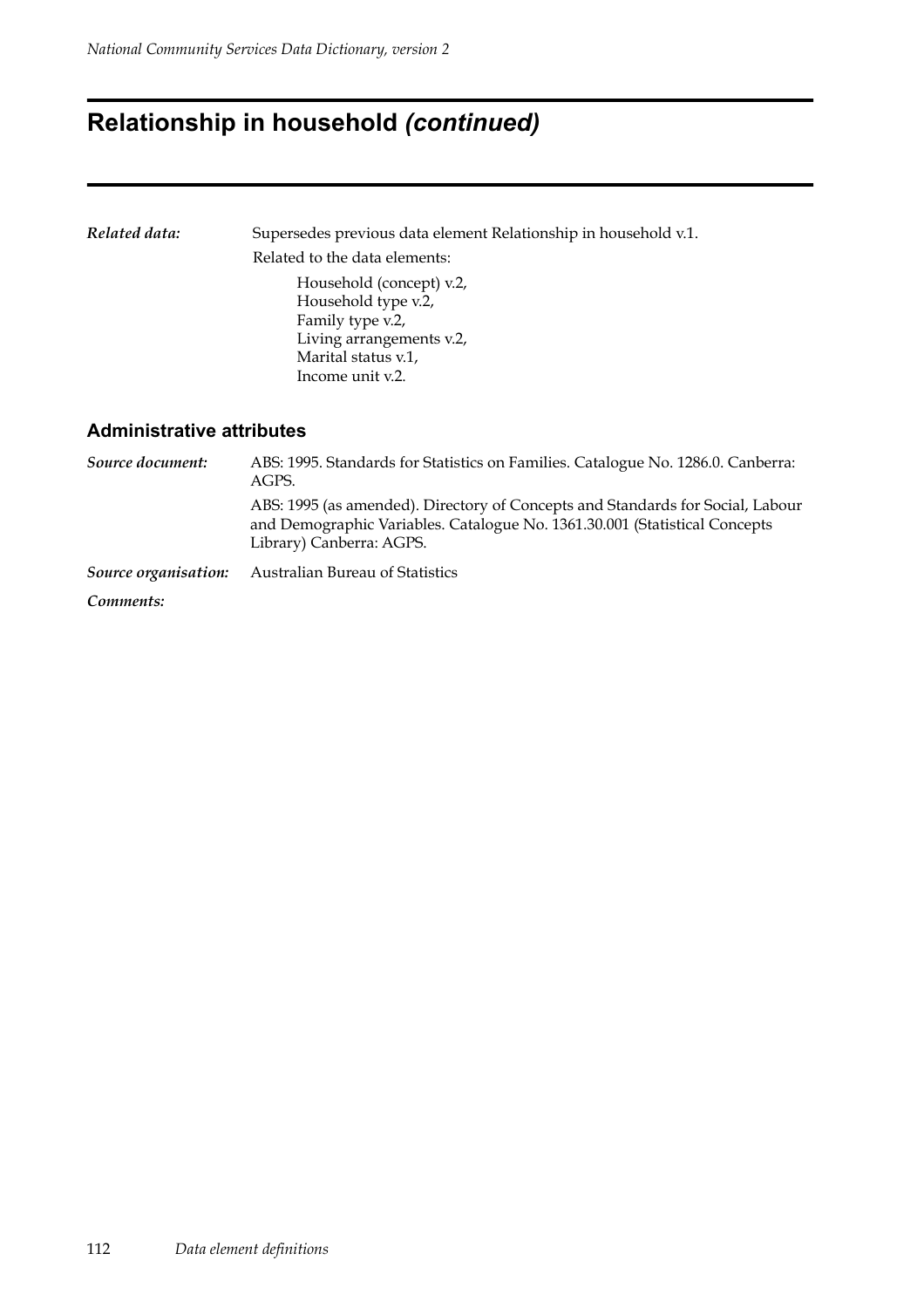## **Relationship in household** *(continued)*

| Related data:                    | Supersedes previous data element Relationship in household v.1.                                                                                                                          |  |  |  |  |  |
|----------------------------------|------------------------------------------------------------------------------------------------------------------------------------------------------------------------------------------|--|--|--|--|--|
|                                  | Related to the data elements:                                                                                                                                                            |  |  |  |  |  |
|                                  | Household (concept) v.2,<br>Household type v.2,<br>Family type v.2,<br>Living arrangements v.2,<br>Marital status v.1,<br>Income unit v.2.                                               |  |  |  |  |  |
| <b>Administrative attributes</b> |                                                                                                                                                                                          |  |  |  |  |  |
| Source document:                 | ABS: 1995. Standards for Statistics on Families. Catalogue No. 1286.0. Canberra:<br>AGPS.                                                                                                |  |  |  |  |  |
|                                  | ABS: 1995 (as amended). Directory of Concepts and Standards for Social, Labour<br>and Demographic Variables. Catalogue No. 1361.30.001 (Statistical Concepts<br>Library) Canberra: AGPS. |  |  |  |  |  |

*Source organisation:* Australian Bureau of Statistics

*Comments:*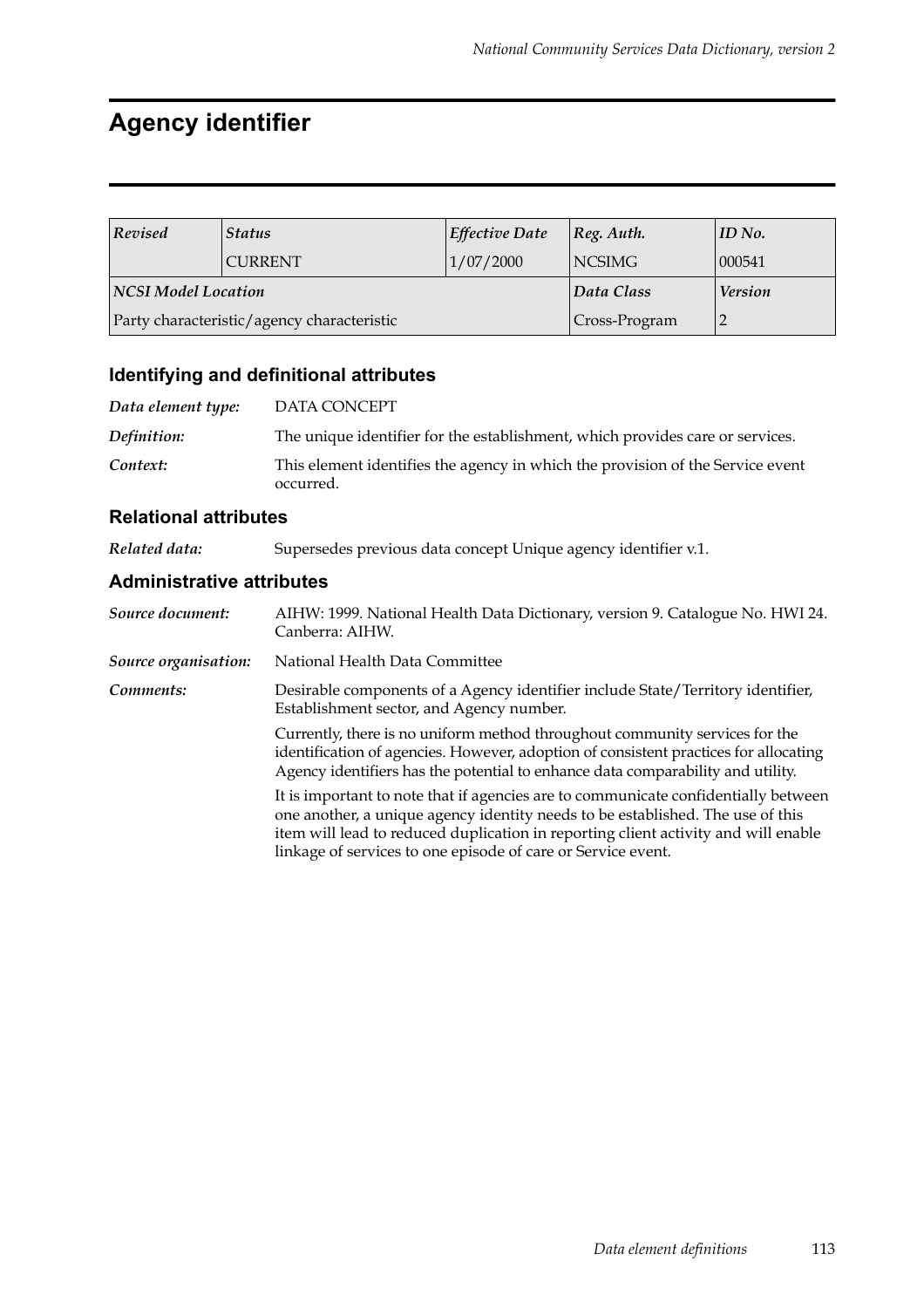## **Agency identifier**

| Revised                    | <b>Status</b>                              | <b>Effective Date</b> | $ Reg.$ Auth.  | ID No. |
|----------------------------|--------------------------------------------|-----------------------|----------------|--------|
|                            | <b>CURRENT</b>                             | 1/07/2000             | <b>NCSIMG</b>  | 000541 |
| <b>NCSI Model Location</b> |                                            | Data Class            | <b>Version</b> |        |
|                            | Party characteristic/agency characteristic |                       | Cross-Program  |        |

#### **Identifying and definitional attributes**

| Data element type: | DATA CONCEPT                                                                                |
|--------------------|---------------------------------------------------------------------------------------------|
| Definition:        | The unique identifier for the establishment, which provides care or services.               |
| Context:           | This element identifies the agency in which the provision of the Service event<br>occurred. |

#### **Relational attributes**

*Related data:* Supersedes previous data concept Unique agency identifier v.1.

#### **Administrative attributes**

*Source document:* AIHW: 1999. National Health Data Dictionary, version 9. Catalogue No. HWI 24. Canberra: AIHW. *Source organisation:* National Health Data Committee *Comments:* Desirable components of a Agency identifier include State/Territory identifier, Establishment sector, and Agency number. Currently, there is no uniform method throughout community services for the identification of agencies. However, adoption of consistent practices for allocating Agency identifiers has the potential to enhance data comparability and utility. It is important to note that if agencies are to communicate confidentially between one another, a unique agency identity needs to be established. The use of this item will lead to reduced duplication in reporting client activity and will enable linkage of services to one episode of care or Service event.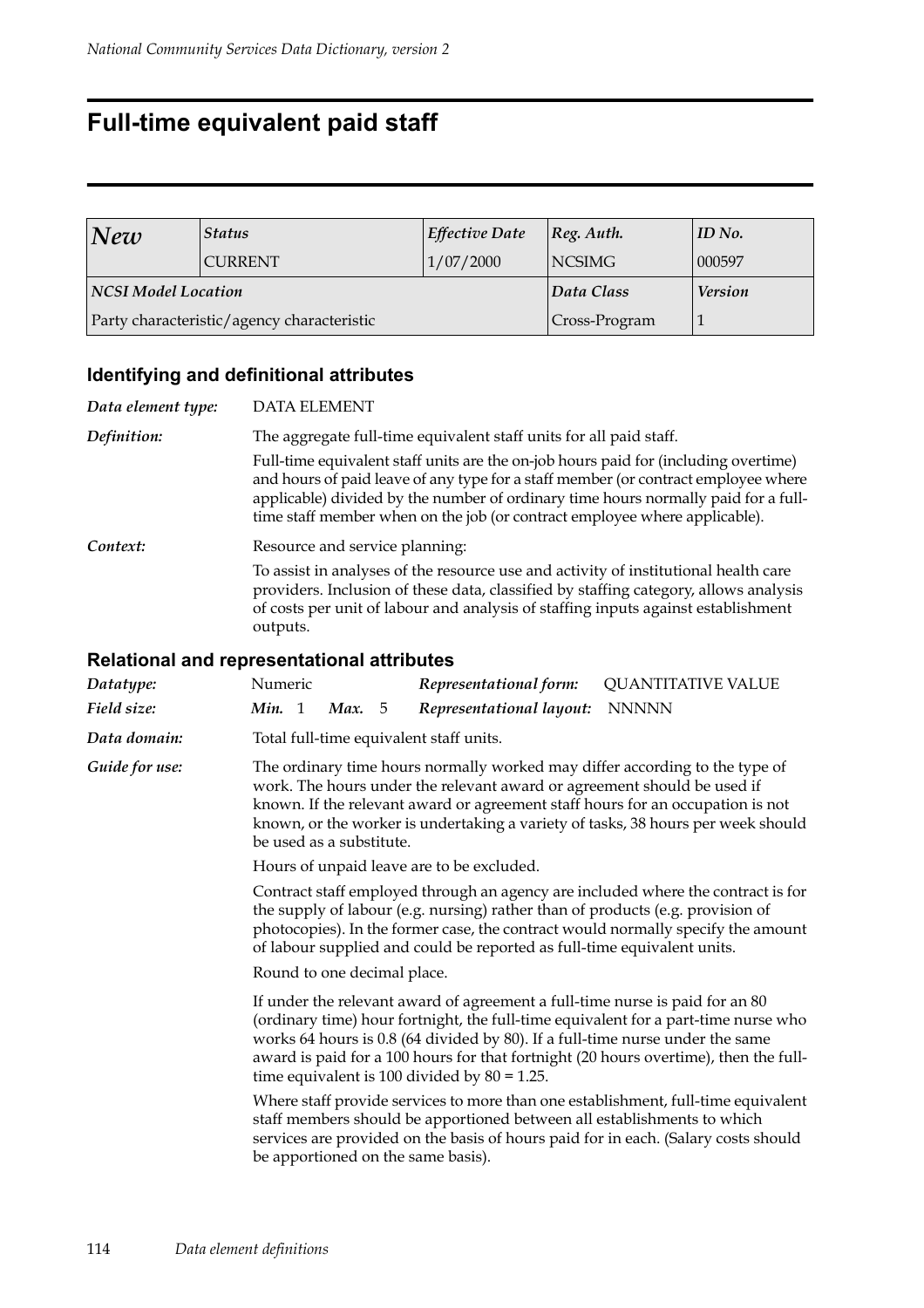## **Full-time equivalent paid staff**

| New                 | <b>Status</b>                              | <b>Effective Date</b> | $ Reg.$ Auth.  | ID No. |
|---------------------|--------------------------------------------|-----------------------|----------------|--------|
|                     | <b>CURRENT</b>                             | 1/07/2000             | NCSIMG         | 000597 |
| NCSI Model Location |                                            | Data Class            | <b>Version</b> |        |
|                     | Party characteristic/agency characteristic |                       | Cross-Program  |        |

#### **Identifying and definitional attributes**

*Data element type:* DATA ELEMENT *Definition:* The aggregate full-time equivalent staff units for all paid staff. Full-time equivalent staff units are the on-job hours paid for (including overtime) and hours of paid leave of any type for a staff member (or contract employee where applicable) divided by the number of ordinary time hours normally paid for a fulltime staff member when on the job (or contract employee where applicable). **Context:** Resource and service planning: To assist in analyses of the resource use and activity of institutional health care providers. Inclusion of these data, classified by staffing category, allows analysis of costs per unit of labour and analysis of staffing inputs against establishment outputs.

| Datatype:      | Numeric                                                                                                                                                                                                                                                                                                                                                                                                                                                                                                                                                                                                                                                                                                                                                            |  |          |  | Representational form:                                                                                        | <b>QUANTITATIVE VALUE</b>                                                                                                                                               |
|----------------|--------------------------------------------------------------------------------------------------------------------------------------------------------------------------------------------------------------------------------------------------------------------------------------------------------------------------------------------------------------------------------------------------------------------------------------------------------------------------------------------------------------------------------------------------------------------------------------------------------------------------------------------------------------------------------------------------------------------------------------------------------------------|--|----------|--|---------------------------------------------------------------------------------------------------------------|-------------------------------------------------------------------------------------------------------------------------------------------------------------------------|
| Field size:    | Min. 1                                                                                                                                                                                                                                                                                                                                                                                                                                                                                                                                                                                                                                                                                                                                                             |  | Max. $5$ |  | Representational layout:                                                                                      | <b>NNNNN</b>                                                                                                                                                            |
| Data domain:   |                                                                                                                                                                                                                                                                                                                                                                                                                                                                                                                                                                                                                                                                                                                                                                    |  |          |  | Total full-time equivalent staff units.                                                                       |                                                                                                                                                                         |
| Guide for use: | The ordinary time hours normally worked may differ according to the type of<br>work. The hours under the relevant award or agreement should be used if<br>known. If the relevant award or agreement staff hours for an occupation is not<br>known, or the worker is undertaking a variety of tasks, 38 hours per week should<br>be used as a substitute.                                                                                                                                                                                                                                                                                                                                                                                                           |  |          |  |                                                                                                               |                                                                                                                                                                         |
|                |                                                                                                                                                                                                                                                                                                                                                                                                                                                                                                                                                                                                                                                                                                                                                                    |  |          |  | Hours of unpaid leave are to be excluded.                                                                     |                                                                                                                                                                         |
|                | Contract staff employed through an agency are included where the contract is for<br>the supply of labour (e.g. nursing) rather than of products (e.g. provision of<br>photocopies). In the former case, the contract would normally specify the amount<br>of labour supplied and could be reported as full-time equivalent units.<br>Round to one decimal place.<br>If under the relevant award of agreement a full-time nurse is paid for an 80<br>(ordinary time) hour fortnight, the full-time equivalent for a part-time nurse who<br>works 64 hours is 0.8 (64 divided by 80). If a full-time nurse under the same<br>award is paid for a 100 hours for that fortnight (20 hours overtime), then the full-<br>time equivalent is 100 divided by $80 = 1.25$ . |  |          |  |                                                                                                               |                                                                                                                                                                         |
|                |                                                                                                                                                                                                                                                                                                                                                                                                                                                                                                                                                                                                                                                                                                                                                                    |  |          |  |                                                                                                               |                                                                                                                                                                         |
|                |                                                                                                                                                                                                                                                                                                                                                                                                                                                                                                                                                                                                                                                                                                                                                                    |  |          |  |                                                                                                               |                                                                                                                                                                         |
|                |                                                                                                                                                                                                                                                                                                                                                                                                                                                                                                                                                                                                                                                                                                                                                                    |  |          |  | staff members should be apportioned between all establishments to which<br>be apportioned on the same basis). | Where staff provide services to more than one establishment, full-time equivalent<br>services are provided on the basis of hours paid for in each. (Salary costs should |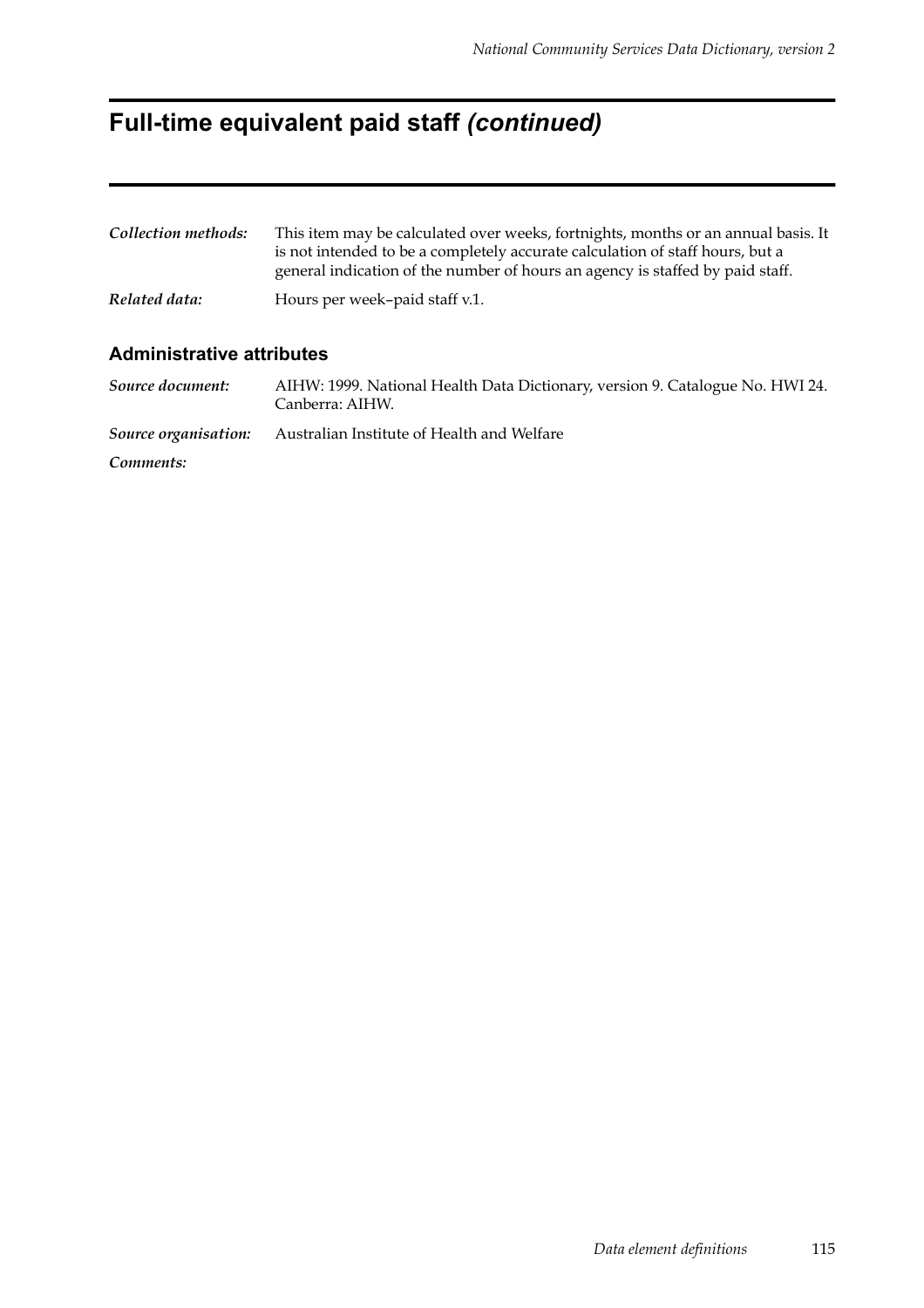## **Full-time equivalent paid staff** *(continued)*

| Collection methods: | This item may be calculated over weeks, fortnights, months or an annual basis. It<br>is not intended to be a completely accurate calculation of staff hours, but a<br>general indication of the number of hours an agency is staffed by paid staff. |
|---------------------|-----------------------------------------------------------------------------------------------------------------------------------------------------------------------------------------------------------------------------------------------------|
| Related data:       | Hours per week-paid staff v.1.                                                                                                                                                                                                                      |

#### **Administrative attributes**

*Source document:* AIHW: 1999. National Health Data Dictionary, version 9. Catalogue No. HWI 24. Canberra: AIHW. *Source organisation:* Australian Institute of Health and Welfare *Comments:*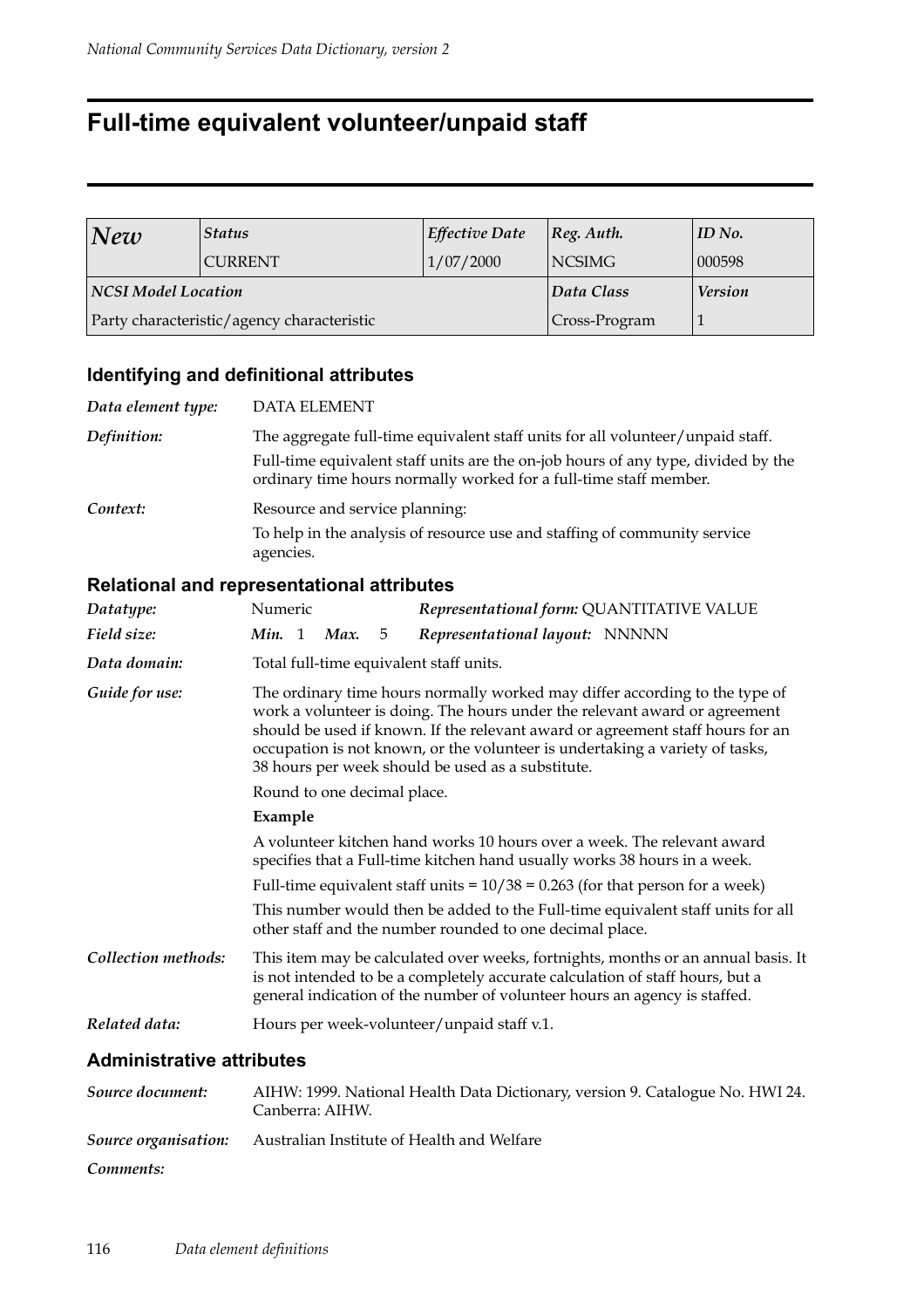## **Full-time equivalent volunteer/unpaid staff**

| New                        | <b>Status</b>                              | Effective Date | $ Reg.$ Auth.  | $ID$ No. |
|----------------------------|--------------------------------------------|----------------|----------------|----------|
|                            | <b>CURRENT</b>                             | 1/07/2000      | <b>NCSIMG</b>  | 000598   |
| <b>NCSI Model Location</b> |                                            | Data Class     | <b>Version</b> |          |
|                            | Party characteristic/agency characteristic |                | Cross-Program  |          |

#### **Identifying and definitional attributes**

| <b>DATA ELEMENT</b>                                                                                                                                    |
|--------------------------------------------------------------------------------------------------------------------------------------------------------|
| The aggregate full-time equivalent staff units for all volunteer/unpaid staff.                                                                         |
| Full-time equivalent staff units are the on-job hours of any type, divided by the<br>ordinary time hours normally worked for a full-time staff member. |
| Resource and service planning:                                                                                                                         |
| To help in the analysis of resource use and staffing of community service<br>agencies.                                                                 |
|                                                                                                                                                        |

#### **Relational and representational attributes**

| Datatype:                        | Representational form: QUANTITATIVE VALUE<br>Numeric                                                                                                                                                                                                                                                                                                                             |  |  |  |  |  |
|----------------------------------|----------------------------------------------------------------------------------------------------------------------------------------------------------------------------------------------------------------------------------------------------------------------------------------------------------------------------------------------------------------------------------|--|--|--|--|--|
| Field size:                      | Representational layout: NNNNN<br>Min. 1<br>Max.<br>5                                                                                                                                                                                                                                                                                                                            |  |  |  |  |  |
| Data domain:                     | Total full-time equivalent staff units.                                                                                                                                                                                                                                                                                                                                          |  |  |  |  |  |
| Guide for use:                   | The ordinary time hours normally worked may differ according to the type of<br>work a volunteer is doing. The hours under the relevant award or agreement<br>should be used if known. If the relevant award or agreement staff hours for an<br>occupation is not known, or the volunteer is undertaking a variety of tasks,<br>38 hours per week should be used as a substitute. |  |  |  |  |  |
|                                  | Round to one decimal place.                                                                                                                                                                                                                                                                                                                                                      |  |  |  |  |  |
|                                  | Example                                                                                                                                                                                                                                                                                                                                                                          |  |  |  |  |  |
|                                  | A volunteer kitchen hand works 10 hours over a week. The relevant award<br>specifies that a Full-time kitchen hand usually works 38 hours in a week.                                                                                                                                                                                                                             |  |  |  |  |  |
|                                  | Full-time equivalent staff units = $10/38 = 0.263$ (for that person for a week)                                                                                                                                                                                                                                                                                                  |  |  |  |  |  |
|                                  | This number would then be added to the Full-time equivalent staff units for all<br>other staff and the number rounded to one decimal place.                                                                                                                                                                                                                                      |  |  |  |  |  |
| Collection methods:              | This item may be calculated over weeks, fortnights, months or an annual basis. It<br>is not intended to be a completely accurate calculation of staff hours, but a<br>general indication of the number of volunteer hours an agency is staffed.                                                                                                                                  |  |  |  |  |  |
| Related data:                    | Hours per week-volunteer/unpaid staff v.1.                                                                                                                                                                                                                                                                                                                                       |  |  |  |  |  |
| <b>Administrative attributes</b> |                                                                                                                                                                                                                                                                                                                                                                                  |  |  |  |  |  |

### *Source document:* AIHW: 1999. National Health Data Dictionary, version 9. Catalogue No. HWI 24. Canberra: AIHW. *Source organisation:* Australian Institute of Health and Welfare *Comments:*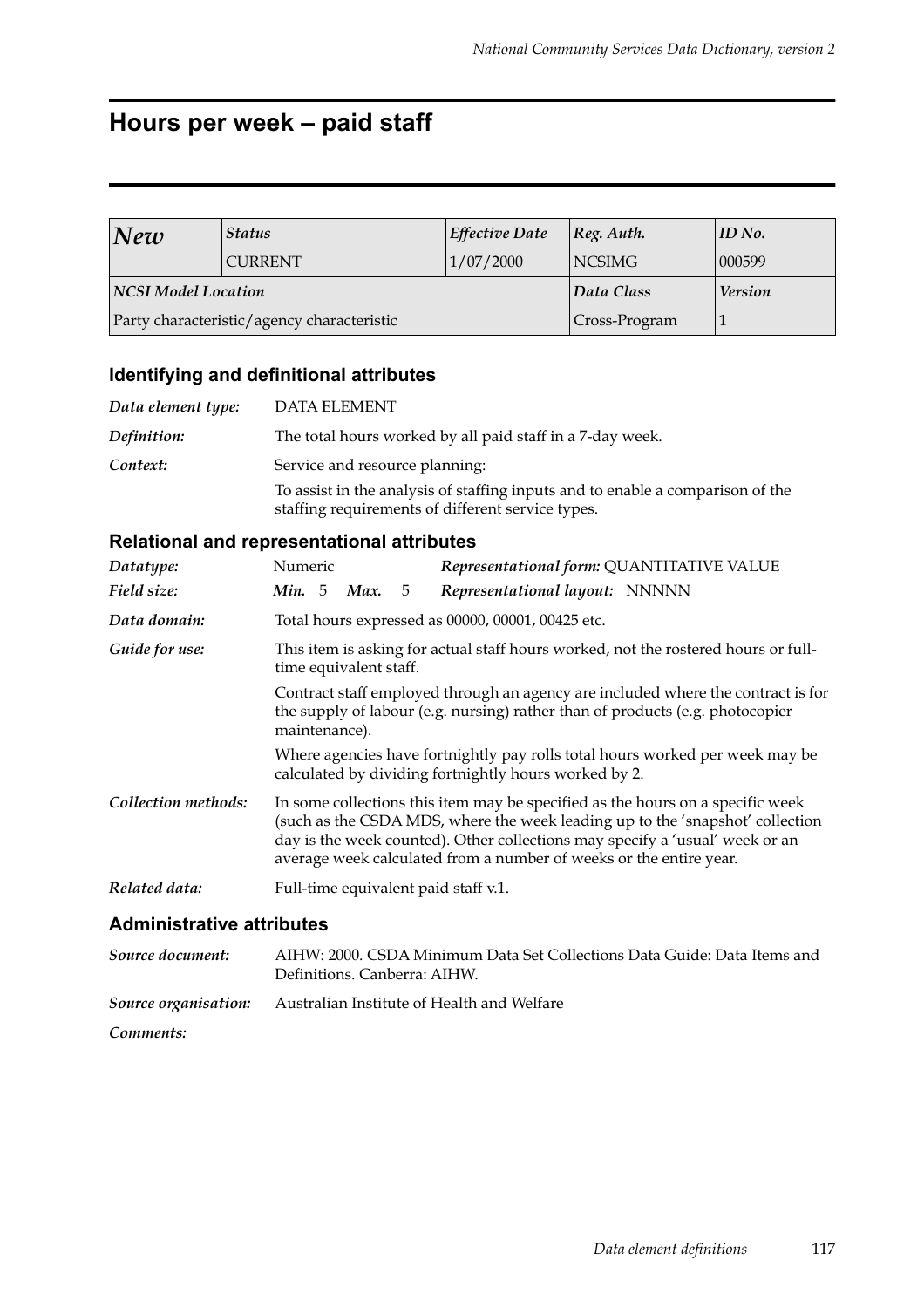## **Hours per week – paid staff**

| New                 | <b>Status</b>                              | <b>Effective Date</b> | $ Reg.$ Auth.  | ID No. |
|---------------------|--------------------------------------------|-----------------------|----------------|--------|
|                     | <b>CURRENT</b>                             | 1/07/2000             | <b>NCSIMG</b>  | 000599 |
| NCSI Model Location |                                            | Data Class            | <b>Version</b> |        |
|                     | Party characteristic/agency characteristic |                       | Cross-Program  |        |

### **Identifying and definitional attributes**

| Data element type: | DATA ELEMENT                                                                                                                        |
|--------------------|-------------------------------------------------------------------------------------------------------------------------------------|
| Definition:        | The total hours worked by all paid staff in a 7-day week.                                                                           |
| Context:           | Service and resource planning:                                                                                                      |
|                    | To assist in the analysis of staffing inputs and to enable a comparison of the<br>staffing requirements of different service types. |

### **Relational and representational attributes**

| Datatype:           | Representational form: QUANTITATIVE VALUE<br>Numeric |                                                                                                                                                                                    |  |   |                                                                                                                                                                                                                                                                                                                       |  |
|---------------------|------------------------------------------------------|------------------------------------------------------------------------------------------------------------------------------------------------------------------------------------|--|---|-----------------------------------------------------------------------------------------------------------------------------------------------------------------------------------------------------------------------------------------------------------------------------------------------------------------------|--|
| Field size:         | Min. 5 Max.                                          |                                                                                                                                                                                    |  | 5 | Representational layout: NNNNN                                                                                                                                                                                                                                                                                        |  |
| Data domain:        |                                                      |                                                                                                                                                                                    |  |   | Total hours expressed as 00000, 00001, 00425 etc.                                                                                                                                                                                                                                                                     |  |
| Guide for use:      |                                                      | This item is asking for actual staff hours worked, not the rostered hours or full-<br>time equivalent staff.                                                                       |  |   |                                                                                                                                                                                                                                                                                                                       |  |
|                     |                                                      | Contract staff employed through an agency are included where the contract is for<br>the supply of labour (e.g. nursing) rather than of products (e.g. photocopier<br>maintenance). |  |   |                                                                                                                                                                                                                                                                                                                       |  |
|                     |                                                      | Where agencies have fortnightly pay rolls total hours worked per week may be<br>calculated by dividing fortnightly hours worked by 2.                                              |  |   |                                                                                                                                                                                                                                                                                                                       |  |
| Collection methods: |                                                      |                                                                                                                                                                                    |  |   | In some collections this item may be specified as the hours on a specific week<br>(such as the CSDA MDS, where the week leading up to the 'snapshot' collection<br>day is the week counted). Other collections may specify a 'usual' week or an<br>average week calculated from a number of weeks or the entire year. |  |
| Related data:       |                                                      |                                                                                                                                                                                    |  |   | Full-time equivalent paid staff v.1.                                                                                                                                                                                                                                                                                  |  |

| Source document: | AIHW: 2000. CSDA Minimum Data Set Collections Data Guide: Data Items and<br>Definitions. Canberra: AIHW. |
|------------------|----------------------------------------------------------------------------------------------------------|
|                  | Source organisation: Australian Institute of Health and Welfare                                          |
| Comments:        |                                                                                                          |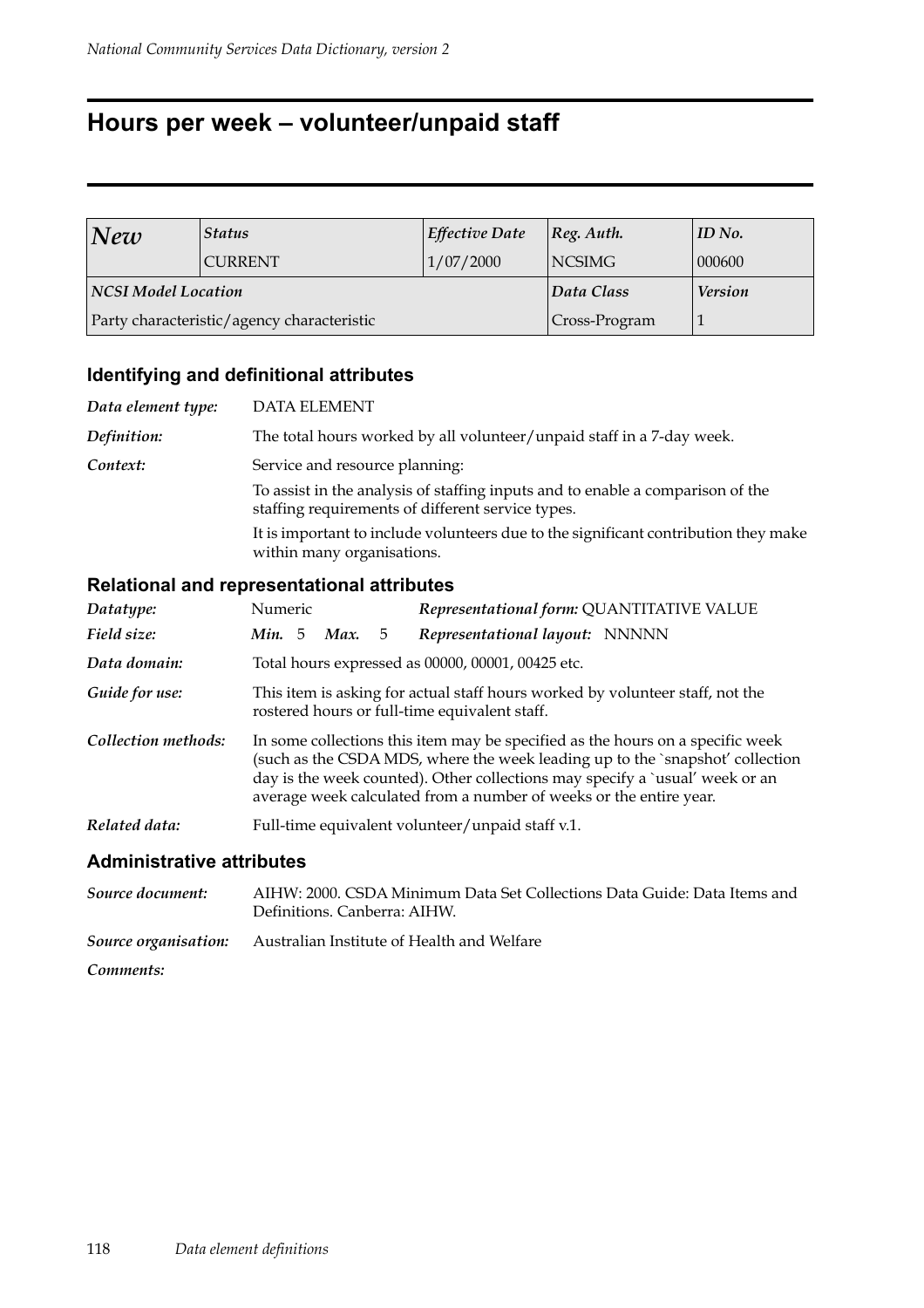## **Hours per week – volunteer/unpaid staff**

| New                 | <b>Status</b>                              | <b>Effective Date</b> | $ Reg.$ Auth.  | $ID$ No. |
|---------------------|--------------------------------------------|-----------------------|----------------|----------|
|                     | <b>CURRENT</b>                             | 1/07/2000             | NCSIMG         | 000600   |
| NCSI Model Location |                                            | Data Class            | <b>Version</b> |          |
|                     | Party characteristic/agency characteristic |                       | Cross-Program  |          |

### **Identifying and definitional attributes**

| Data element type: | <b>DATA ELEMENT</b>                                                                                                                 |
|--------------------|-------------------------------------------------------------------------------------------------------------------------------------|
| Definition:        | The total hours worked by all volunteer/unpaid staff in a 7-day week.                                                               |
| Context:           | Service and resource planning:                                                                                                      |
|                    | To assist in the analysis of staffing inputs and to enable a comparison of the<br>staffing requirements of different service types. |
|                    | It is important to include volunteers due to the significant contribution they make<br>within many organisations.                   |
|                    |                                                                                                                                     |

#### **Relational and representational attributes**

| Datatype:           | Representational form: QUANTITATIVE VALUE<br>Numeric                                                                                                                                                                                                                                                                  |  |                             |  |                                                   |
|---------------------|-----------------------------------------------------------------------------------------------------------------------------------------------------------------------------------------------------------------------------------------------------------------------------------------------------------------------|--|-----------------------------|--|---------------------------------------------------|
| Field size:         |                                                                                                                                                                                                                                                                                                                       |  | <i>Min.</i> 5 <i>Max.</i> 5 |  | Representational layout: NNNNN                    |
| Data domain:        |                                                                                                                                                                                                                                                                                                                       |  |                             |  | Total hours expressed as 00000, 00001, 00425 etc. |
| Guide for use:      | This item is asking for actual staff hours worked by volunteer staff, not the<br>rostered hours or full-time equivalent staff.                                                                                                                                                                                        |  |                             |  |                                                   |
| Collection methods: | In some collections this item may be specified as the hours on a specific week<br>(such as the CSDA MDS, where the week leading up to the `snapshot' collection<br>day is the week counted). Other collections may specify a 'usual' week or an<br>average week calculated from a number of weeks or the entire year. |  |                             |  |                                                   |
| Related data:       |                                                                                                                                                                                                                                                                                                                       |  |                             |  | Full-time equivalent volunteer/unpaid staff v.1.  |

| Source document: | AIHW: 2000. CSDA Minimum Data Set Collections Data Guide: Data Items and<br>Definitions. Canberra: AIHW. |
|------------------|----------------------------------------------------------------------------------------------------------|
|                  | <b>Source organisation:</b> Australian Institute of Health and Welfare                                   |
| Comments:        |                                                                                                          |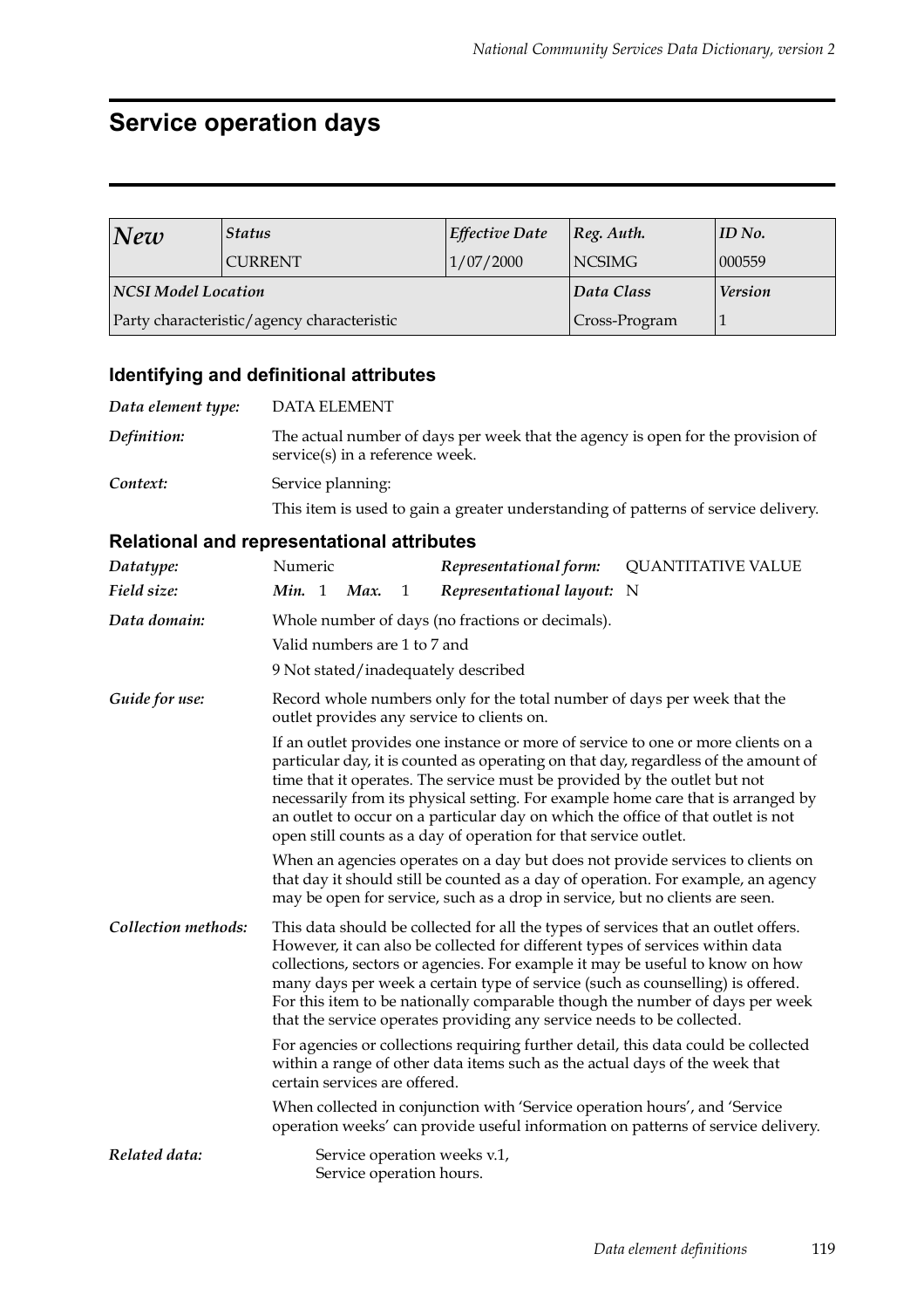## **Service operation days**

| New                 | <b>Status</b>                              | <b>Effective Date</b> | $ Reg.$ Auth.  | $ID$ No. |
|---------------------|--------------------------------------------|-----------------------|----------------|----------|
| <b>CURRENT</b>      |                                            | 1/07/2000             | NCSIMG         | 000559   |
| NCSI Model Location |                                            | Data Class            | <b>Version</b> |          |
|                     | Party characteristic/agency characteristic |                       | Cross-Program  |          |

#### **Identifying and definitional attributes**

| Data element type: | <b>DATA ELEMENT</b>                                                                                                |
|--------------------|--------------------------------------------------------------------------------------------------------------------|
| Definition:        | The actual number of days per week that the agency is open for the provision of<br>service(s) in a reference week. |
| Context:           | Service planning:<br>This item is used to gain a greater understanding of patterns of service delivery.            |

| Datatype:           | Numeric                                                                                                                                                                                                                                                                                                                                                                                                                                                                                           |                          | Representational form:                                                     | <b>QUANTITATIVE VALUE</b>                                                        |  |
|---------------------|---------------------------------------------------------------------------------------------------------------------------------------------------------------------------------------------------------------------------------------------------------------------------------------------------------------------------------------------------------------------------------------------------------------------------------------------------------------------------------------------------|--------------------------|----------------------------------------------------------------------------|----------------------------------------------------------------------------------|--|
| Field size:         | Min. 1<br>Max.                                                                                                                                                                                                                                                                                                                                                                                                                                                                                    | 1                        | Representational layout: N                                                 |                                                                                  |  |
| Data domain:        | Whole number of days (no fractions or decimals).                                                                                                                                                                                                                                                                                                                                                                                                                                                  |                          |                                                                            |                                                                                  |  |
|                     | Valid numbers are 1 to 7 and                                                                                                                                                                                                                                                                                                                                                                                                                                                                      |                          |                                                                            |                                                                                  |  |
|                     |                                                                                                                                                                                                                                                                                                                                                                                                                                                                                                   |                          | 9 Not stated/inadequately described                                        |                                                                                  |  |
| Guide for use:      | Record whole numbers only for the total number of days per week that the<br>outlet provides any service to clients on.                                                                                                                                                                                                                                                                                                                                                                            |                          |                                                                            |                                                                                  |  |
|                     | If an outlet provides one instance or more of service to one or more clients on a<br>particular day, it is counted as operating on that day, regardless of the amount of<br>time that it operates. The service must be provided by the outlet but not<br>necessarily from its physical setting. For example home care that is arranged by<br>an outlet to occur on a particular day on which the office of that outlet is not<br>open still counts as a day of operation for that service outlet. |                          |                                                                            |                                                                                  |  |
|                     | When an agencies operates on a day but does not provide services to clients on<br>that day it should still be counted as a day of operation. For example, an agency<br>may be open for service, such as a drop in service, but no clients are seen.                                                                                                                                                                                                                                               |                          |                                                                            |                                                                                  |  |
| Collection methods: | This data should be collected for all the types of services that an outlet offers.<br>However, it can also be collected for different types of services within data<br>collections, sectors or agencies. For example it may be useful to know on how<br>many days per week a certain type of service (such as counselling) is offered.<br>For this item to be nationally comparable though the number of days per week<br>that the service operates providing any service needs to be collected.  |                          |                                                                            |                                                                                  |  |
|                     | For agencies or collections requiring further detail, this data could be collected<br>within a range of other data items such as the actual days of the week that<br>certain services are offered.                                                                                                                                                                                                                                                                                                |                          |                                                                            |                                                                                  |  |
|                     |                                                                                                                                                                                                                                                                                                                                                                                                                                                                                                   |                          | When collected in conjunction with 'Service operation hours', and 'Service | operation weeks' can provide useful information on patterns of service delivery. |  |
| Related data:       |                                                                                                                                                                                                                                                                                                                                                                                                                                                                                                   | Service operation hours. | Service operation weeks v.1,                                               |                                                                                  |  |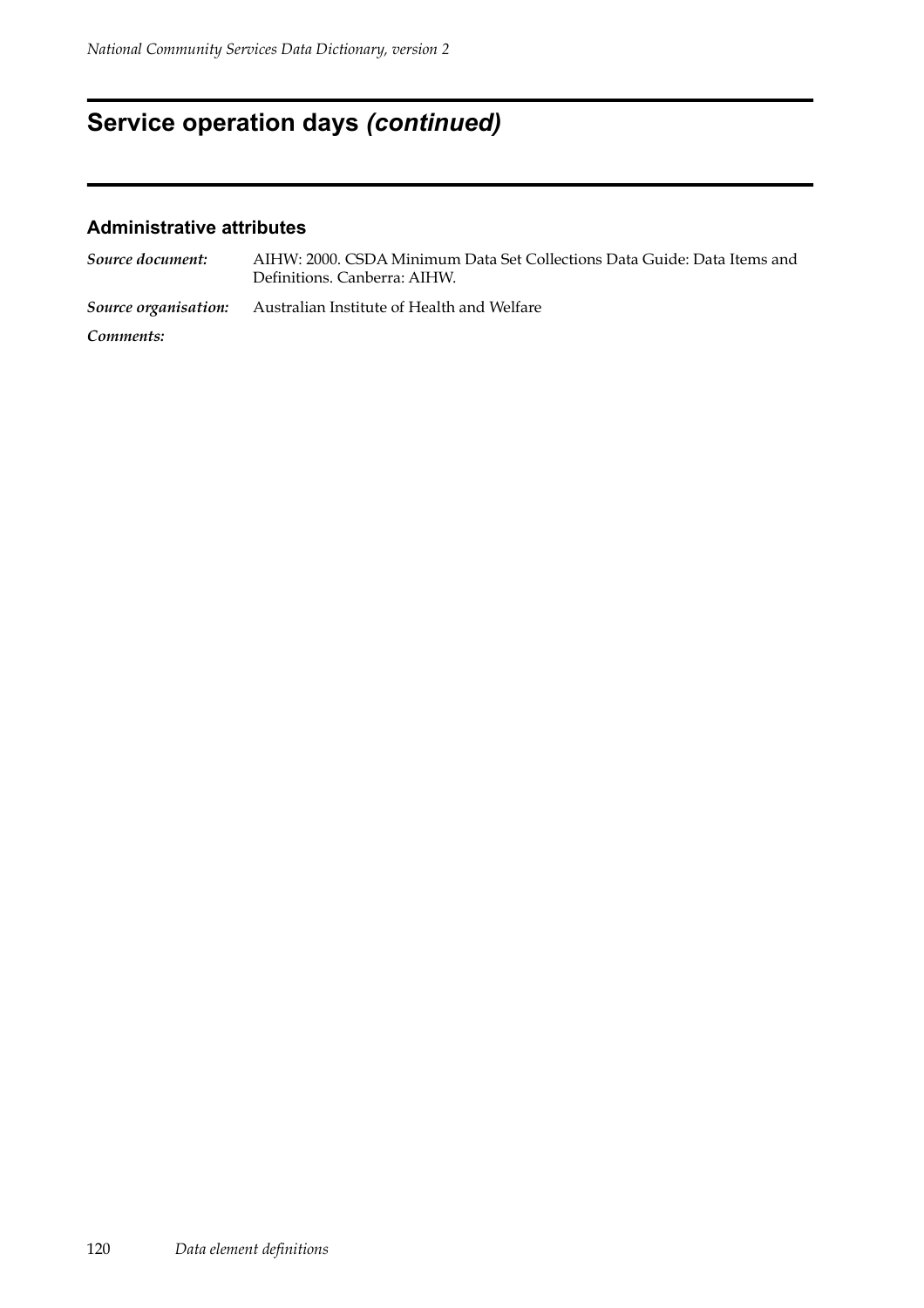## **Service operation days** *(continued)*

| Source document:     | AIHW: 2000. CSDA Minimum Data Set Collections Data Guide: Data Items and<br>Definitions. Canberra: AIHW. |
|----------------------|----------------------------------------------------------------------------------------------------------|
| Source organisation: | Australian Institute of Health and Welfare                                                               |
| Comments:            |                                                                                                          |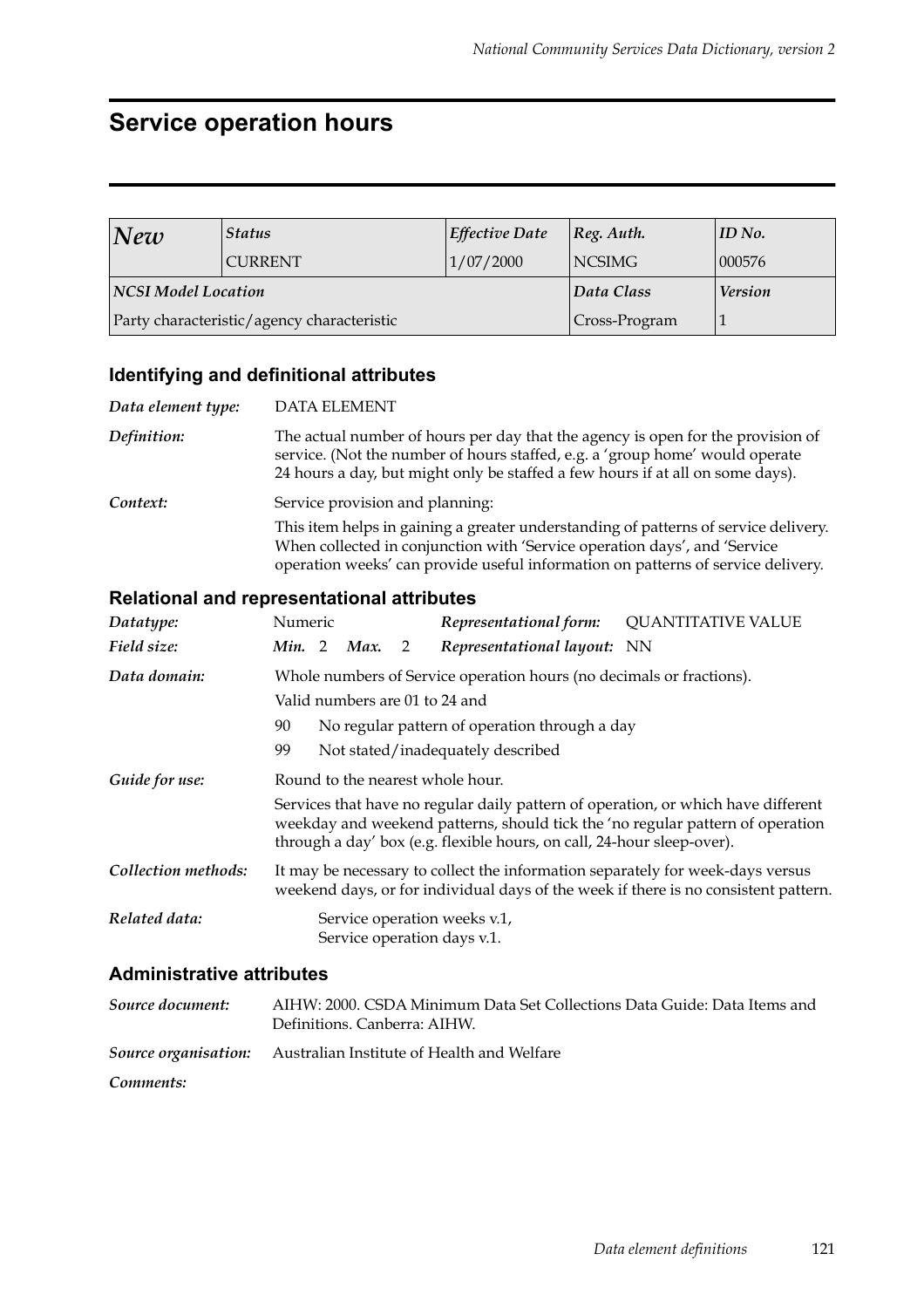## **Service operation hours**

| $N$ ew                     | <b>Status</b>                              | <b>Effective Date</b> | [Reg. Author.  | ID No. |
|----------------------------|--------------------------------------------|-----------------------|----------------|--------|
|                            | <b>CURRENT</b>                             | 1/07/2000             | NCSIMG         | 000576 |
| <b>NCSI Model Location</b> |                                            | Data Class            | <b>Version</b> |        |
|                            | Party characteristic/agency characteristic | Cross-Program         |                |        |

### **Identifying and definitional attributes**

| Data element type: | <b>DATA ELEMENT</b>                                                                                                                                                                                                                                  |
|--------------------|------------------------------------------------------------------------------------------------------------------------------------------------------------------------------------------------------------------------------------------------------|
| Definition:        | The actual number of hours per day that the agency is open for the provision of<br>service. (Not the number of hours staffed, e.g. a 'group home' would operate<br>24 hours a day, but might only be staffed a few hours if at all on some days).    |
| Context:           | Service provision and planning:                                                                                                                                                                                                                      |
|                    | This item helps in gaining a greater understanding of patterns of service delivery.<br>When collected in conjunction with 'Service operation days', and 'Service<br>operation weeks' can provide useful information on patterns of service delivery. |

### **Relational and representational attributes**

| Datatype:           | Numeric                                                                                                                                                                                                                                       |  |      |                | Representational form:                                               | <b>QUANTITATIVE VALUE</b>                                                                                                                                             |
|---------------------|-----------------------------------------------------------------------------------------------------------------------------------------------------------------------------------------------------------------------------------------------|--|------|----------------|----------------------------------------------------------------------|-----------------------------------------------------------------------------------------------------------------------------------------------------------------------|
| Field size:         | Min. 2                                                                                                                                                                                                                                        |  | Max. | $\overline{2}$ | Representational layout: NN                                          |                                                                                                                                                                       |
| Data domain:        |                                                                                                                                                                                                                                               |  |      |                | Whole numbers of Service operation hours (no decimals or fractions). |                                                                                                                                                                       |
|                     |                                                                                                                                                                                                                                               |  |      |                | Valid numbers are 01 to 24 and                                       |                                                                                                                                                                       |
|                     | 90                                                                                                                                                                                                                                            |  |      |                | No regular pattern of operation through a day                        |                                                                                                                                                                       |
|                     | 99                                                                                                                                                                                                                                            |  |      |                | Not stated/inadequately described                                    |                                                                                                                                                                       |
| Guide for use:      | Round to the nearest whole hour.                                                                                                                                                                                                              |  |      |                |                                                                      |                                                                                                                                                                       |
|                     | Services that have no regular daily pattern of operation, or which have different<br>weekday and weekend patterns, should tick the 'no regular pattern of operation<br>through a day' box (e.g. flexible hours, on call, 24-hour sleep-over). |  |      |                |                                                                      |                                                                                                                                                                       |
| Collection methods: |                                                                                                                                                                                                                                               |  |      |                |                                                                      | It may be necessary to collect the information separately for week-days versus<br>weekend days, or for individual days of the week if there is no consistent pattern. |
| Related data:       |                                                                                                                                                                                                                                               |  |      |                | Service operation weeks v.1,<br>Service operation days v.1.          |                                                                                                                                                                       |

| Source document: | AIHW: 2000. CSDA Minimum Data Set Collections Data Guide: Data Items and<br>Definitions. Canberra: AIHW. |
|------------------|----------------------------------------------------------------------------------------------------------|
|                  | <b>Source organisation:</b> Australian Institute of Health and Welfare                                   |
| Comments:        |                                                                                                          |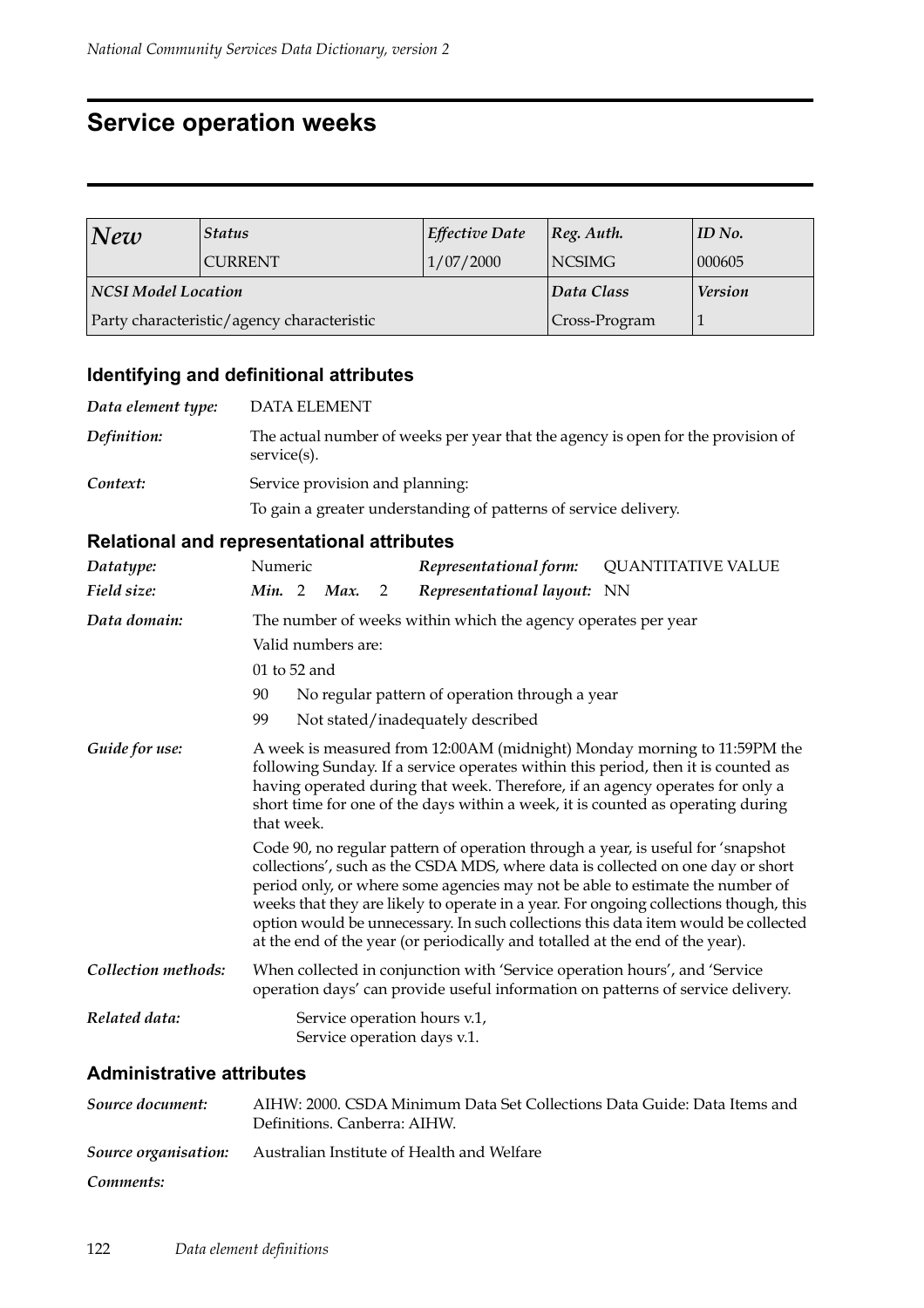## **Service operation weeks**

| New                 | <b>Status</b>                              | <b>Effective Date</b> | [Reg. Author. | ID No.         |
|---------------------|--------------------------------------------|-----------------------|---------------|----------------|
|                     | <b>CURRENT</b>                             | 1/07/2000             | <b>NCSIMG</b> | 000605         |
| NCSI Model Location |                                            |                       | Data Class    | <b>Version</b> |
|                     | Party characteristic/agency characteristic |                       | Cross-Program |                |

### **Identifying and definitional attributes**

| Data element type: | <b>DATA ELEMENT</b>                                                                                    |
|--------------------|--------------------------------------------------------------------------------------------------------|
| Definition:        | The actual number of weeks per year that the agency is open for the provision of<br>$s$ ervice $(s)$ . |
| Context:           | Service provision and planning:<br>To gain a greater understanding of patterns of service delivery.    |

### **Relational and representational attributes**

| Datatype:           | Numeric      |                    |   | Representational form:                                                                                                                                                                                                                                | <b>QUANTITATIVE VALUE</b>                                                                                                                                                                                                                                                                                                                       |
|---------------------|--------------|--------------------|---|-------------------------------------------------------------------------------------------------------------------------------------------------------------------------------------------------------------------------------------------------------|-------------------------------------------------------------------------------------------------------------------------------------------------------------------------------------------------------------------------------------------------------------------------------------------------------------------------------------------------|
| Field size:         | Min. 2       | Max.               | 2 | Representational layout: NN                                                                                                                                                                                                                           |                                                                                                                                                                                                                                                                                                                                                 |
| Data domain:        |              |                    |   | The number of weeks within which the agency operates per year                                                                                                                                                                                         |                                                                                                                                                                                                                                                                                                                                                 |
|                     |              | Valid numbers are: |   |                                                                                                                                                                                                                                                       |                                                                                                                                                                                                                                                                                                                                                 |
|                     | 01 to 52 and |                    |   |                                                                                                                                                                                                                                                       |                                                                                                                                                                                                                                                                                                                                                 |
|                     | 90           |                    |   | No regular pattern of operation through a year                                                                                                                                                                                                        |                                                                                                                                                                                                                                                                                                                                                 |
|                     | 99           |                    |   | Not stated/inadequately described                                                                                                                                                                                                                     |                                                                                                                                                                                                                                                                                                                                                 |
| Guide for use:      | that week.   |                    |   | following Sunday. If a service operates within this period, then it is counted as<br>having operated during that week. Therefore, if an agency operates for only a<br>short time for one of the days within a week, it is counted as operating during | A week is measured from 12:00AM (midnight) Monday morning to 11:59PM the                                                                                                                                                                                                                                                                        |
|                     |              |                    |   | Code 90, no regular pattern of operation through a year, is useful for 'snapshot<br>at the end of the year (or periodically and totalled at the end of the year).                                                                                     | collections', such as the CSDA MDS, where data is collected on one day or short<br>period only, or where some agencies may not be able to estimate the number of<br>weeks that they are likely to operate in a year. For ongoing collections though, this<br>option would be unnecessary. In such collections this data item would be collected |
| Collection methods: |              |                    |   | When collected in conjunction with 'Service operation hours', and 'Service                                                                                                                                                                            | operation days' can provide useful information on patterns of service delivery.                                                                                                                                                                                                                                                                 |
| Related data:       |              |                    |   | Service operation hours v.1,<br>Service operation days v.1.                                                                                                                                                                                           |                                                                                                                                                                                                                                                                                                                                                 |

| Source document: | AIHW: 2000. CSDA Minimum Data Set Collections Data Guide: Data Items and<br>Definitions. Canberra: AIHW. |
|------------------|----------------------------------------------------------------------------------------------------------|
|                  | <b>Source organisation:</b> Australian Institute of Health and Welfare                                   |
| Comments:        |                                                                                                          |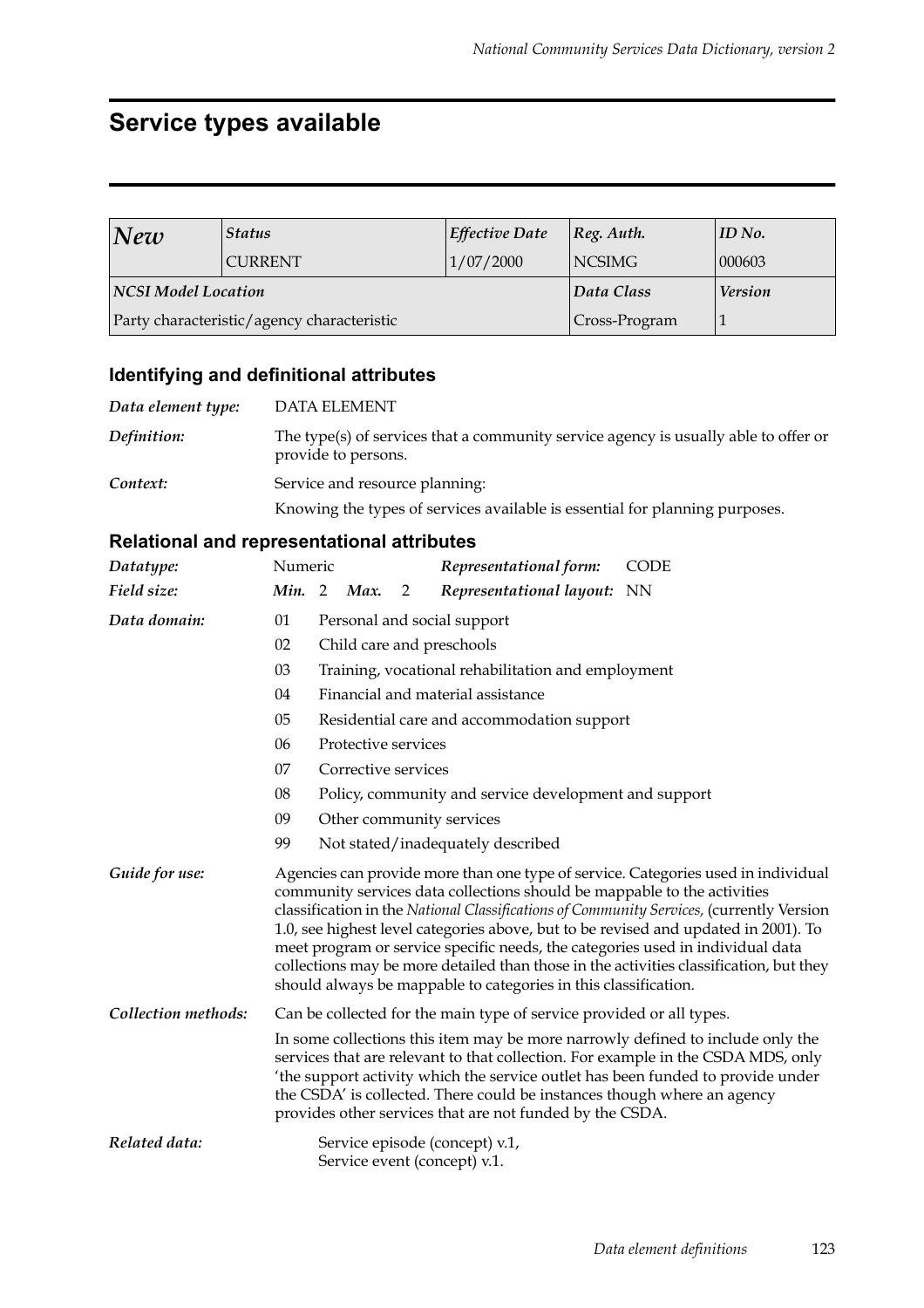## **Service types available**

| $N$ ew                                     | <b>Status</b>  | <b>Effective Date</b> | Reg. Author.  | ID No.         |
|--------------------------------------------|----------------|-----------------------|---------------|----------------|
|                                            | <b>CURRENT</b> | 1/07/2000             | NCSIMG        | 000603         |
| NCSI Model Location                        |                |                       | Data Class    | <b>Version</b> |
| Party characteristic/agency characteristic |                |                       | Cross-Program |                |

### **Identifying and definitional attributes**

| Data element type: | <b>DATA ELEMENT</b>                                                                                        |
|--------------------|------------------------------------------------------------------------------------------------------------|
| Definition:        | The type(s) of services that a community service agency is usually able to offer or<br>provide to persons. |
| Context:           | Service and resource planning:                                                                             |
|                    | Knowing the types of services available is essential for planning purposes.                                |

| Datatype:                      | Numeric                                                                                                                                                                                                                                                                                                                                                                                                                                                                                                                                                                                         |  |                                   |   | Representational form:                                                                                                              | <b>CODE</b>                                                                                                                                                                                                                                           |  |  |  |
|--------------------------------|-------------------------------------------------------------------------------------------------------------------------------------------------------------------------------------------------------------------------------------------------------------------------------------------------------------------------------------------------------------------------------------------------------------------------------------------------------------------------------------------------------------------------------------------------------------------------------------------------|--|-----------------------------------|---|-------------------------------------------------------------------------------------------------------------------------------------|-------------------------------------------------------------------------------------------------------------------------------------------------------------------------------------------------------------------------------------------------------|--|--|--|
| Field size:                    | Min. 2                                                                                                                                                                                                                                                                                                                                                                                                                                                                                                                                                                                          |  | Max.                              | 2 | Representational layout: NN                                                                                                         |                                                                                                                                                                                                                                                       |  |  |  |
| Data domain:                   | 01                                                                                                                                                                                                                                                                                                                                                                                                                                                                                                                                                                                              |  | Personal and social support       |   |                                                                                                                                     |                                                                                                                                                                                                                                                       |  |  |  |
|                                | 02                                                                                                                                                                                                                                                                                                                                                                                                                                                                                                                                                                                              |  |                                   |   | Child care and preschools                                                                                                           |                                                                                                                                                                                                                                                       |  |  |  |
|                                | 03                                                                                                                                                                                                                                                                                                                                                                                                                                                                                                                                                                                              |  |                                   |   | Training, vocational rehabilitation and employment                                                                                  |                                                                                                                                                                                                                                                       |  |  |  |
|                                | 04                                                                                                                                                                                                                                                                                                                                                                                                                                                                                                                                                                                              |  | Financial and material assistance |   |                                                                                                                                     |                                                                                                                                                                                                                                                       |  |  |  |
|                                | 05                                                                                                                                                                                                                                                                                                                                                                                                                                                                                                                                                                                              |  |                                   |   | Residential care and accommodation support                                                                                          |                                                                                                                                                                                                                                                       |  |  |  |
|                                | 06                                                                                                                                                                                                                                                                                                                                                                                                                                                                                                                                                                                              |  | Protective services               |   |                                                                                                                                     |                                                                                                                                                                                                                                                       |  |  |  |
|                                | 07                                                                                                                                                                                                                                                                                                                                                                                                                                                                                                                                                                                              |  | Corrective services               |   |                                                                                                                                     |                                                                                                                                                                                                                                                       |  |  |  |
|                                | 08                                                                                                                                                                                                                                                                                                                                                                                                                                                                                                                                                                                              |  |                                   |   | Policy, community and service development and support                                                                               |                                                                                                                                                                                                                                                       |  |  |  |
| 09<br>Other community services |                                                                                                                                                                                                                                                                                                                                                                                                                                                                                                                                                                                                 |  |                                   |   |                                                                                                                                     |                                                                                                                                                                                                                                                       |  |  |  |
|                                | 99                                                                                                                                                                                                                                                                                                                                                                                                                                                                                                                                                                                              |  | Not stated/inadequately described |   |                                                                                                                                     |                                                                                                                                                                                                                                                       |  |  |  |
| Guide for use:                 | Agencies can provide more than one type of service. Categories used in individual<br>community services data collections should be mappable to the activities<br>classification in the National Classifications of Community Services, (currently Version<br>1.0, see highest level categories above, but to be revised and updated in 2001). To<br>meet program or service specific needs, the categories used in individual data<br>collections may be more detailed than those in the activities classification, but they<br>should always be mappable to categories in this classification. |  |                                   |   |                                                                                                                                     |                                                                                                                                                                                                                                                       |  |  |  |
| Collection methods:            |                                                                                                                                                                                                                                                                                                                                                                                                                                                                                                                                                                                                 |  |                                   |   | Can be collected for the main type of service provided or all types.                                                                |                                                                                                                                                                                                                                                       |  |  |  |
|                                |                                                                                                                                                                                                                                                                                                                                                                                                                                                                                                                                                                                                 |  |                                   |   | the CSDA' is collected. There could be instances though where an agency<br>provides other services that are not funded by the CSDA. | In some collections this item may be more narrowly defined to include only the<br>services that are relevant to that collection. For example in the CSDA MDS, only<br>'the support activity which the service outlet has been funded to provide under |  |  |  |
| Related data:                  |                                                                                                                                                                                                                                                                                                                                                                                                                                                                                                                                                                                                 |  |                                   |   | Service episode (concept) v.1,<br>Service event (concept) v.1.                                                                      |                                                                                                                                                                                                                                                       |  |  |  |